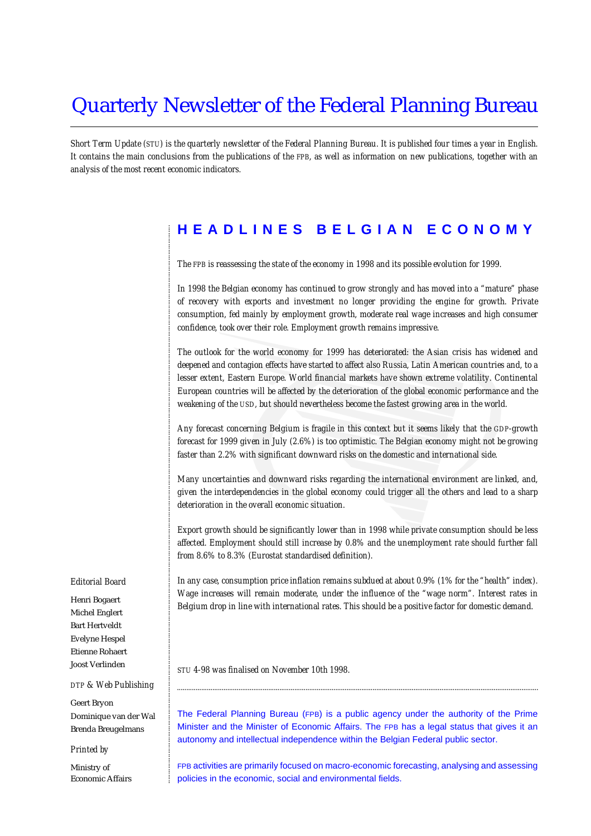## Quarterly Newsletter of the Federal Planning Bureau

*Short Term Update (STU) is the quarterly newsletter of the Federal Planning Bureau. It is published four times a year in English. It contains the main conclusions from the publications of the FPB, as well as information on new publications, together with an analysis of the most recent economic indicators.*

## **HEADLINES BELGIAN ECONOMY**

*The FPB is reassessing the state of the economy in 1998 and its possible evolution for 1999.*

*In 1998 the Belgian economy has continued to grow strongly and has moved into a "mature" phase of recovery with exports and investment no longer providing the engine for growth. Private consumption, fed mainly by employment growth, moderate real wage increases and high consumer confidence, took over their role. Employment growth remains impressive.*

*The outlook for the world economy for 1999 has deteriorated: the Asian crisis has widened and deepened and contagion effects have started to affect also Russia, Latin American countries and, to a lesser extent, Eastern Europe. World financial markets have shown extreme volatility. Continental European countries will be affected by the deterioration of the global economic performance and the weakening of the USD, but should nevertheless become the fastest growing area in the world.*

*Any forecast concerning Belgium is fragile in this context but it seems likely that the GDP-growth forecast for 1999 given in July (2.6%) is too optimistic. The Belgian economy might not be growing faster than 2.2% with significant downward risks on the domestic and international side.*

*Many uncertainties and downward risks regarding the international environment are linked, and, given the interdependencies in the global economy could trigger all the others and lead to a sharp deterioration in the overall economic situation.*

*Export growth should be significantly lower than in 1998 while private consumption should be less affected. Employment should still increase by 0.8% and the unemployment rate should further fall from 8.6% to 8.3% (Eurostat standardised definition).*

*Belgium drop in line with international rates. This should be a positive factor for domestic demand.*

............................................................................................................................................................................................................................................................................................................ *In any case, consumption price inflation remains subdued at about 0.9% (1% for the "health" index). Wage increases will remain moderate, under the influence of the "wage norm". Interest rates in*

*STU 4-98 was finalised on November 10th 1998.*

The Federal Planning Bureau (FPB) is a public agency under the authority of the Prime Minister and the Minister of Economic Affairs. The FPB has a legal status that gives it an autonomy and intellectual independence within the Belgian Federal public sector.

..................................................................................................................................................................................................

FPB activities are primarily focused on macro-economic forecasting, analysing and assessing policies in the economic, social and environmental fields.

#### *Editorial Board*

Henri Bogaert Michel Englert Bart Hertveldt Evelyne Hespel Etienne Rohaert Joost Verlinden

#### *DTP & Web Publishing*

Geert Bryon Dominique van der Wal Brenda Breugelmans

#### *Printed by*

Ministry of Economic Affairs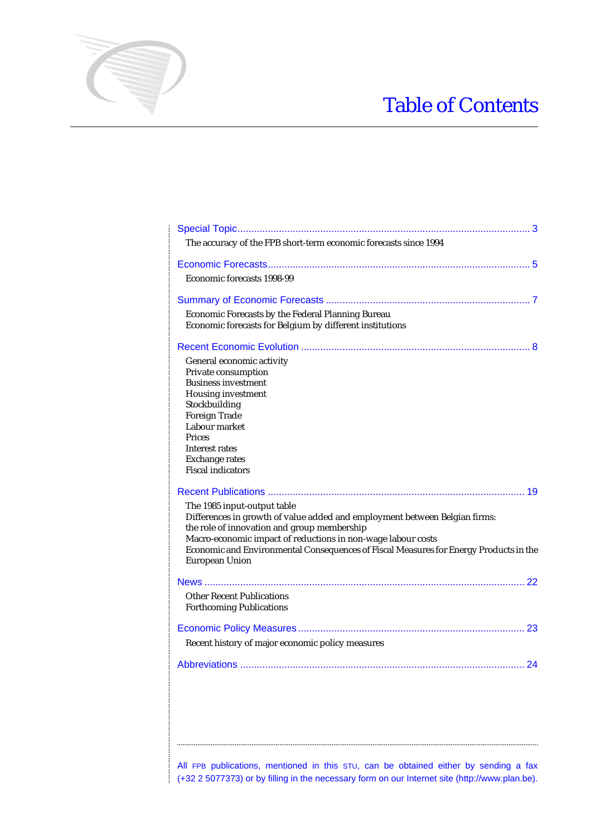# Table of Contents

| The accuracy of the FPB short-term economic forecasts since 1994                                                                                                                                                                                                                                                                           |
|--------------------------------------------------------------------------------------------------------------------------------------------------------------------------------------------------------------------------------------------------------------------------------------------------------------------------------------------|
|                                                                                                                                                                                                                                                                                                                                            |
| Economic forecasts 1998-99                                                                                                                                                                                                                                                                                                                 |
|                                                                                                                                                                                                                                                                                                                                            |
| Economic Forecasts by the Federal Planning Bureau<br>Economic forecasts for Belgium by different institutions                                                                                                                                                                                                                              |
|                                                                                                                                                                                                                                                                                                                                            |
| General economic activity<br>Private consumption<br><b>Business investment</b><br><b>Housing investment</b><br>Stockbuilding<br>Foreign Trade<br>Labour market<br>Prices<br>Interest rates<br><b>Exchange rates</b><br><b>Fiscal indicators</b>                                                                                            |
|                                                                                                                                                                                                                                                                                                                                            |
| The 1985 input-output table<br>Differences in growth of value added and employment between Belgian firms:<br>the role of innovation and group membership<br>Macro-economic impact of reductions in non-wage labour costs<br>Economic and Environmental Consequences of Fiscal Measures for Energy Products in the<br><b>European Union</b> |
| <b>Other Recent Publications</b><br><b>Forthcoming Publications</b>                                                                                                                                                                                                                                                                        |
| Recent history of major economic policy measures                                                                                                                                                                                                                                                                                           |
|                                                                                                                                                                                                                                                                                                                                            |
|                                                                                                                                                                                                                                                                                                                                            |

............................................................................................................................................................................................................................................................................................................

All FPB publications, mentioned in this STU, can be obtained either by sending a fax (+32 2 5077373) or by filling in the necessary form on our Internet site (http://www.plan.be).

..................................................................................................................................................................................................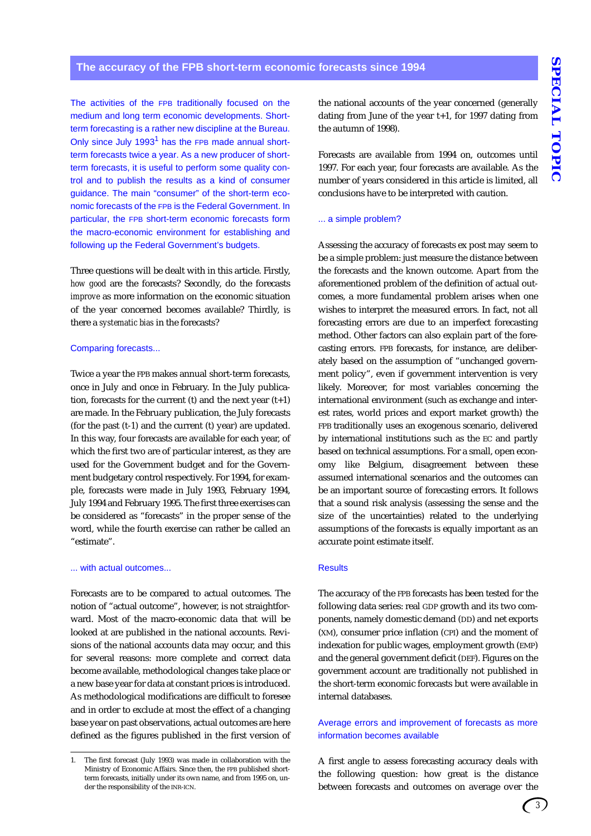The activities of the FPB traditionally focused on the medium and long term economic developments. Shortterm forecasting is a rather new discipline at the Bureau. Only since July  $1993<sup>1</sup>$  has the FPB made annual shortterm forecasts twice a year. As a new producer of shortterm forecasts, it is useful to perform some quality control and to publish the results as a kind of consumer guidance. The main "consumer" of the short-term economic forecasts of the FPB is the Federal Government. In particular, the FPB short-term economic forecasts form the macro-economic environment for establishing and following up the Federal Government's budgets.

Three questions will be dealt with in this article. Firstly, *how good* are the forecasts? Secondly, do the forecasts *improve* as more information on the economic situation of the year concerned becomes available? Thirdly, is there a *systematic bias* in the forecasts?

#### Comparing forecasts...

Twice a year the FPB makes annual short-term forecasts, once in July and once in February. In the July publication, forecasts for the current (t) and the next year  $(t+1)$ are made. In the February publication, the July forecasts (for the past (t-1) and the current (t) year) are updated. In this way, four forecasts are available for each year, of which the first two are of particular interest, as they are used for the Government budget and for the Government budgetary control respectively. For 1994, for example, forecasts were made in July 1993, February 1994, July 1994 and February 1995. The first three exercises can be considered as "forecasts" in the proper sense of the word, while the fourth exercise can rather be called an "estimate".

#### ... with actual outcomes...

Forecasts are to be compared to actual outcomes. The notion of "actual outcome", however, is not straightforward. Most of the macro-economic data that will be looked at are published in the national accounts. Revisions of the national accounts data may occur, and this for several reasons: more complete and correct data become available, methodological changes take place or a new base year for data at constant prices is introduced. As methodological modifications are difficult to foresee and in order to exclude at most the effect of a changing base year on past observations, actual outcomes are here defined as the figures published in the first version of

the national accounts of the year concerned (generally dating from June of the year t+1, for 1997 dating from the autumn of 1998).

Forecasts are available from 1994 on, outcomes until 1997. For each year, four forecasts are available. As the number of years considered in this article is limited, all conclusions have to be interpreted with caution.

#### ... a simple problem?

Assessing the accuracy of forecasts ex post may seem to be a simple problem: just measure the distance between the forecasts and the known outcome. Apart from the aforementioned problem of the definition of actual outcomes, a more fundamental problem arises when one wishes to interpret the measured errors. In fact, not all forecasting errors are due to an imperfect forecasting method. Other factors can also explain part of the forecasting errors. FPB forecasts, for instance, are deliberately based on the assumption of "unchanged government policy", even if government intervention is very likely. Moreover, for most variables concerning the international environment (such as exchange and interest rates, world prices and export market growth) the FPB traditionally uses an exogenous scenario, delivered by international institutions such as the EC and partly based on technical assumptions. For a small, open economy like Belgium, disagreement between these assumed international scenarios and the outcomes can be an important source of forecasting errors. It follows that a sound risk analysis (assessing the sense and the size of the uncertainties) related to the underlying assumptions of the forecasts is equally important as an accurate point estimate itself.

#### **Results**

The accuracy of the FPB forecasts has been tested for the following data series: real GDP growth and its two components, namely domestic demand (DD) and net exports (XM), consumer price inflation (CPI) and the moment of indexation for public wages, employment growth (EMP) and the general government deficit (DEF). Figures on the government account are traditionally not published in the short-term economic forecasts but were available in internal databases.

#### Average errors and improvement of forecasts as more information becomes available

A first angle to assess forecasting accuracy deals with the following question: how great is the distance between forecasts and outcomes on average over the

<sup>1.</sup> The first forecast (July 1993) was made in collaboration with the Ministry of Economic Affairs. Since then, the FPB published shortterm forecasts, initially under its own name, and from 1995 on, under the responsibility of the INR-ICN.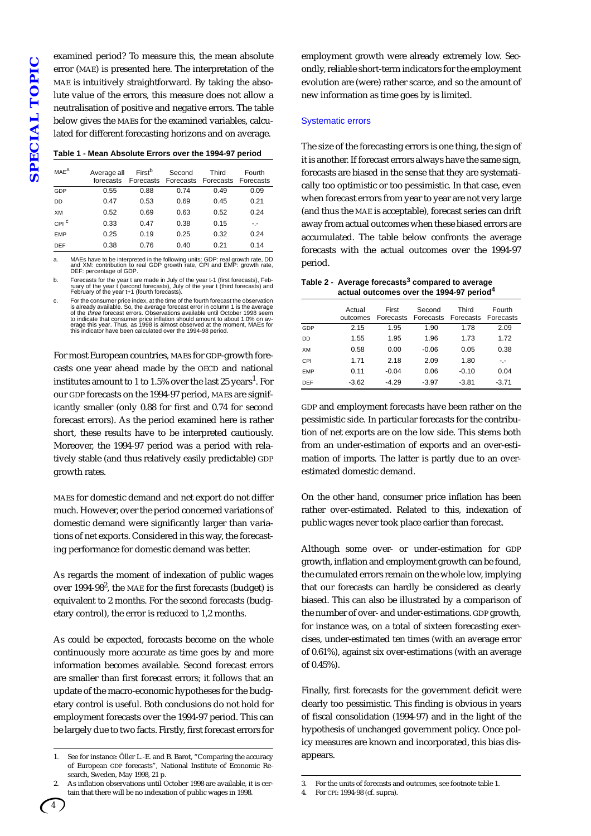examined period? To measure this, the mean absolute error (MAE) is presented here. The interpretation of the MAE is intuitively straightforward. By taking the absolute value of the errors, this measure does not allow a neutralisation of positive and negative errors. The table below gives the MAEs for the examined variables, calculated for different forecasting horizons and on average.

| Table 1 - Mean Absolute Errors over the 1994-97 period |  |  |  |
|--------------------------------------------------------|--|--|--|
|                                                        |  |  |  |

| MAE <sup>A</sup> | Average all<br>forecasts | First <sup>b</sup> | Second | Third<br>Forecasts Forecasts Forecasts Forecasts | Fourth |
|------------------|--------------------------|--------------------|--------|--------------------------------------------------|--------|
| GDP              | 0.55                     | 0.88               | 0.74   | 0.49                                             | 0.09   |
| DD               | 0.47                     | 0.53               | 0.69   | 0.45                                             | 0.21   |
| XM               | 0.52                     | 0.69               | 0.63   | 0.52                                             | 0.24   |
| CPI <sup>C</sup> | 0.33                     | 0.47               | 0.38   | 0.15                                             | -.-    |
| <b>EMP</b>       | 0.25                     | 0.19               | 0.25   | 0.32                                             | 0.24   |
| <b>DEF</b>       | 0.38                     | 0.76               | 0.40   | 0.21                                             | 0.14   |

a. MAEs have to be interpreted in the following units: GDP: real growth rate, DD and XM: contribution to real GDP growth rate, CPI and EMP: growth rate, DEF: percentage of GDP.

b. Forecasts for the year t are made in July of the year t-1 (first forecasts), Feb-<br>ruary of the year t (second forecasts), July of the year t (third forecasts) and<br>February of the year t+1 (fourth forecasts).

c. For the consumer price index, at the time of the fourth forecast the observation is already available. So, the average forecast error in column 1 is the average of the *three* forecast errors. Observations available unt

For most European countries, MAEs for GDP-growth forecasts one year ahead made by the OECD and national institutes amount to 1 to 1.5% over the last 25 years<sup>1</sup>. For our GDP forecasts on the 1994-97 period, MAEs are significantly smaller (only 0.88 for first and 0.74 for second forecast errors). As the period examined here is rather short, these results have to be interpreted cautiously. Moreover, the 1994-97 period was a period with relatively stable (and thus relatively easily predictable) GDP growth rates.

MAEs for domestic demand and net export do not differ much. However, over the period concerned variations of domestic demand were significantly larger than variations of net exports. Considered in this way, the forecasting performance for domestic demand was better.

As regards the moment of indexation of public wages over  $1994-98^2$ , the MAE for the first forecasts (budget) is equivalent to 2 months. For the second forecasts (budgetary control), the error is reduced to 1,2 months.

As could be expected, forecasts become on the whole continuously more accurate as time goes by and more information becomes available. Second forecast errors are smaller than first forecast errors; it follows that an update of the macro-economic hypotheses for the budgetary control is useful. Both conclusions do not hold for employment forecasts over the 1994-97 period. This can be largely due to two facts. Firstly, first forecast errors for

employment growth were already extremely low. Secondly, reliable short-term indicators for the employment evolution are (were) rather scarce, and so the amount of new information as time goes by is limited.

#### Systematic errors

The size of the forecasting errors is one thing, the sign of it is another. If forecast errors always have the same sign, forecasts are biased in the sense that they are systematically too optimistic or too pessimistic. In that case, even when forecast errors from year to year are not very large (and thus the MAE is acceptable), forecast series can drift away from actual outcomes when these biased errors are accumulated. The table below confronts the average forecasts with the actual outcomes over the 1994-97 period.

| Table 2 - Average forecasts <sup>3</sup> compared to average |
|--------------------------------------------------------------|
| actual outcomes over the 1994-97 period <sup>4</sup>         |

|            | Actual<br>outcomes | First<br>Forecasts | Second  | Third<br>Forecasts Forecasts | Fourth<br>Forecasts |
|------------|--------------------|--------------------|---------|------------------------------|---------------------|
| GDP        | 2.15               | 1.95               | 1.90    | 1.78                         | 2.09                |
| <b>DD</b>  | 1.55               | 1.95               | 1.96    | 1.73                         | 1.72                |
| XM         | 0.58               | 0.00               | $-0.06$ | 0.05                         | 0.38                |
| CPI        | 1.71               | 2.18               | 2.09    | 1.80                         | -.-                 |
| <b>EMP</b> | 0.11               | $-0.04$            | 0.06    | $-0.10$                      | 0.04                |
| DEF        | $-3.62$            | $-4.29$            | $-3.97$ | $-3.81$                      | $-3.71$             |

GDP and employment forecasts have been rather on the pessimistic side. In particular forecasts for the contribution of net exports are on the low side. This stems both from an under-estimation of exports and an over-estimation of imports. The latter is partly due to an overestimated domestic demand.

On the other hand, consumer price inflation has been rather over-estimated. Related to this, indexation of public wages never took place earlier than forecast.

Although some over- or under-estimation for GDP growth, inflation and employment growth can be found, the cumulated errors remain on the whole low, implying that our forecasts can hardly be considered as clearly biased. This can also be illustrated by a comparison of the number of over- and under-estimations. GDP growth, for instance was, on a total of sixteen forecasting exercises, under-estimated ten times (with an average error of 0.61%), against six over-estimations (with an average of 0.45%).

Finally, first forecasts for the government deficit were clearly too pessimistic. This finding is obvious in years of fiscal consolidation (1994-97) and in the light of the hypothesis of unchanged government policy. Once policy measures are known and incorporated, this bias disappears.

<sup>1.</sup> See for instance: Öller L.-E. and B. Barot, "Comparing the accuracy of European GDP forecasts", National Institute of Economic Research, Sweden, May 1998, 21 p.

As inflation observations until October 1998 are available, it is certain that there will be no indexation of public wages in 1998.

<sup>3.</sup> For the units of forecasts and outcomes, see footnote table 1.

<sup>4.</sup> For CPI: 1994-98 (cf. supra).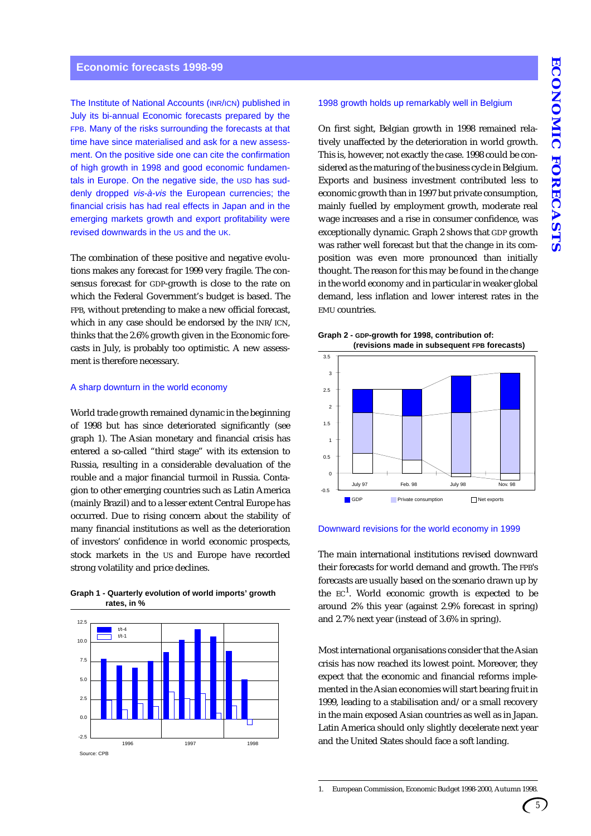The Institute of National Accounts (INR/ICN) published in July its bi-annual Economic forecasts prepared by the FPB. Many of the risks surrounding the forecasts at that time have since materialised and ask for a new assessment. On the positive side one can cite the confirmation of high growth in 1998 and good economic fundamentals in Europe. On the negative side, the USD has suddenly dropped vis-à-vis the European currencies; the financial crisis has had real effects in Japan and in the emerging markets growth and export profitability were revised downwards in the US and the UK.

The combination of these positive and negative evolutions makes any forecast for 1999 very fragile. The consensus forecast for GDP-growth is close to the rate on which the Federal Government's budget is based. The FPB, without pretending to make a new official forecast, which in any case should be endorsed by the INR/ICN, thinks that the 2.6% growth given in the Economic forecasts in July, is probably too optimistic. A new assessment is therefore necessary.

#### A sharp downturn in the world economy

World trade growth remained dynamic in the beginning of 1998 but has since deteriorated significantly (see graph 1). The Asian monetary and financial crisis has entered a so-called "third stage" with its extension to Russia, resulting in a considerable devaluation of the rouble and a major financial turmoil in Russia. Contagion to other emerging countries such as Latin America (mainly Brazil) and to a lesser extent Central Europe has occurred. Due to rising concern about the stability of many financial institutions as well as the deterioration of investors' confidence in world economic prospects, stock markets in the US and Europe have recorded strong volatility and price declines.



Source: CPB

#### **Graph 1 - Quarterly evolution of world imports' growth rates, in %**

#### 1998 growth holds up remarkably well in Belgium

On first sight, Belgian growth in 1998 remained relatively unaffected by the deterioration in world growth. This is, however, not exactly the case. 1998 could be considered as the maturing of the business cycle in Belgium. Exports and business investment contributed less to economic growth than in 1997 but private consumption, mainly fuelled by employment growth, moderate real wage increases and a rise in consumer confidence, was exceptionally dynamic. Graph 2 shows that GDP growth was rather well forecast but that the change in its composition was even more pronounced than initially thought. The reason for this may be found in the change in the world economy and in particular in weaker global demand, less inflation and lower interest rates in the EMU countries.





#### Downward revisions for the world economy in 1999

The main international institutions revised downward their forecasts for world demand and growth. The FPB's forecasts are usually based on the scenario drawn up by the  $EC<sup>1</sup>$ . World economic growth is expected to be around 2% this year (against 2.9% forecast in spring) and 2.7% next year (instead of 3.6% in spring).

Most international organisations consider that the Asian crisis has now reached its lowest point. Moreover, they expect that the economic and financial reforms implemented in the Asian economies will start bearing fruit in 1999, leading to a stabilisation and/or a small recovery in the main exposed Asian countries as well as in Japan. Latin America should only slightly decelerate next year and the United States should face a soft landing.

<sup>1.</sup> European Commission, Economic Budget 1998-2000, Autumn 1998.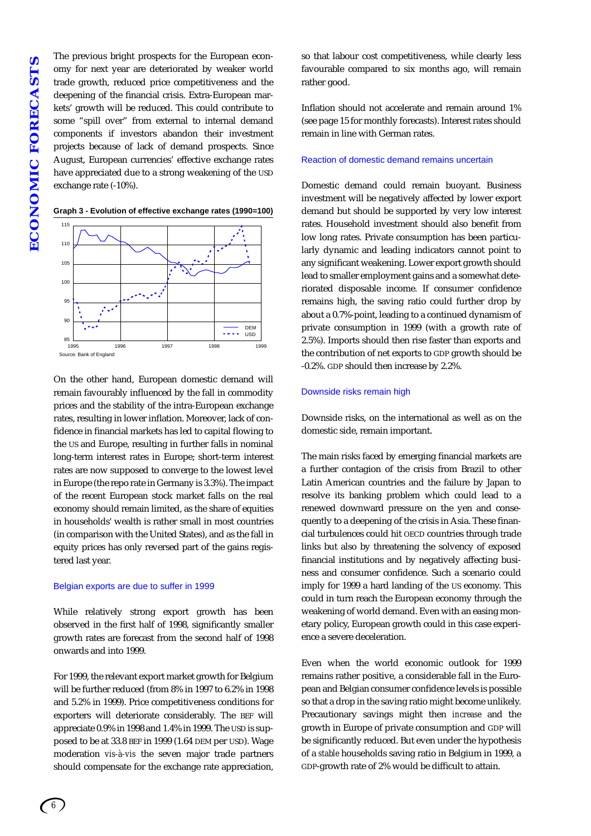The previous bright prospects for the European economy for next year are deteriorated by weaker world trade growth, reduced price competitiveness and the deepening of the financial crisis. Extra-European markets' growth will be reduced. This could contribute to some "spill over" from external to internal demand components if investors abandon their investment projects because of lack of demand prospects. Since August, European currencies' effective exchange rates have appreciated due to a strong weakening of the USD exchange rate (-10%).



**Graph 3 - Evolution of effective exchange rates (1990=100)**

On the other hand, European domestic demand will remain favourably influenced by the fall in commodity prices and the stability of the intra-European exchange rates, resulting in lower inflation. Moreover, lack of confidence in financial markets has led to capital flowing to the US and Europe, resulting in further falls in nominal long-term interest rates in Europe; short-term interest rates are now supposed to converge to the lowest level in Europe (the repo rate in Germany is 3.3%). The impact of the recent European stock market falls on the real economy should remain limited, as the share of equities in households' wealth is rather small in most countries (in comparison with the United States), and as the fall in equity prices has only reversed part of the gains registered last year.

#### Belgian exports are due to suffer in 1999

While relatively strong export growth has been observed in the first half of 1998, significantly smaller growth rates are forecast from the second half of 1998 onwards and into 1999.

For 1999, the relevant export market growth for Belgium will be further reduced (from 8% in 1997 to 6.2% in 1998 and 5.2% in 1999). Price competitiveness conditions for exporters will deteriorate considerably. The BEF will appreciate 0.9% in 1998 and 1.4% in 1999. The USD is supposed to be at 33.8 BEF in 1999 (1.64 DEM per USD). Wage moderation *vis-à-vis* the seven major trade partners should compensate for the exchange rate appreciation,

so that labour cost competitiveness, while clearly less favourable compared to six months ago, will remain rather good.

Inflation should not accelerate and remain around 1% (see page 15 for monthly forecasts). Interest rates should remain in line with German rates.

#### Reaction of domestic demand remains uncertain

Domestic demand could remain buoyant. Business investment will be negatively affected by lower export demand but should be supported by very low interest rates. Household investment should also benefit from low long rates. Private consumption has been particularly dynamic and leading indicators cannot point to any significant weakening. Lower export growth should lead to smaller employment gains and a somewhat deteriorated disposable income. If consumer confidence remains high, the saving ratio could further drop by about a 0.7%-point, leading to a continued dynamism of private consumption in 1999 (with a growth rate of 2.5%). Imports should then rise faster than exports and the contribution of net exports to GDP growth should be -0.2%. GDP should then increase by 2.2%.

#### Downside risks remain high

Downside risks, on the international as well as on the domestic side, remain important.

The main risks faced by emerging financial markets are a further contagion of the crisis from Brazil to other Latin American countries and the failure by Japan to resolve its banking problem which could lead to a renewed downward pressure on the yen and consequently to a deepening of the crisis in Asia. These financial turbulences could hit OECD countries through trade links but also by threatening the solvency of exposed financial institutions and by negatively affecting business and consumer confidence. Such a scenario could imply for 1999 a hard landing of the US economy. This could in turn reach the European economy through the weakening of world demand. Even with an easing monetary policy, European growth could in this case experience a severe deceleration.

Even when the world economic outlook for 1999 remains rather positive, a considerable fall in the European and Belgian consumer confidence levels is possible so that a drop in the saving ratio might become unlikely. Precautionary savings might then *increase* and the growth in Europe of private consumption and GDP will be significantly reduced. But even under the hypothesis of a *stable* households saving ratio in Belgium in 1999, a GDP-growth rate of 2% would be difficult to attain.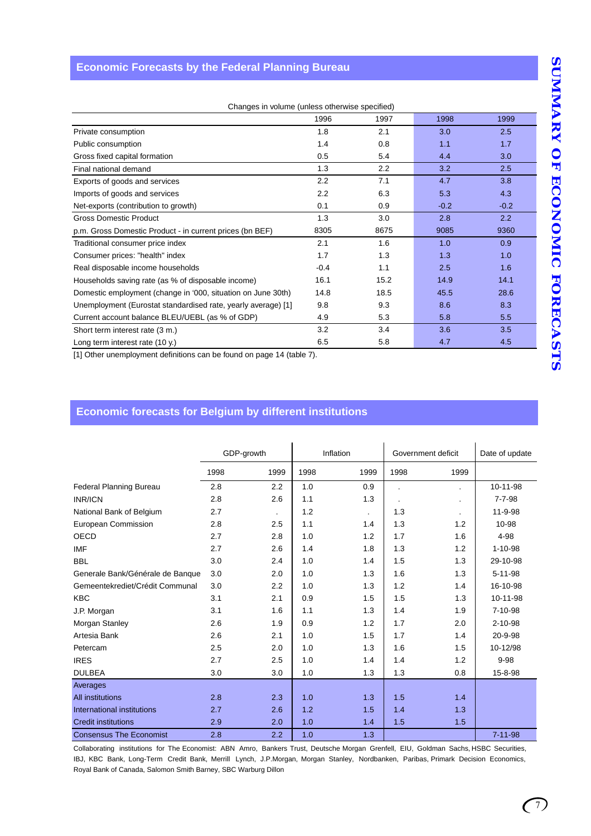## **Economic Forecasts by the Federal Planning Bureau**

| Changes in volume (unless otherwise specified)                |        |      |        |        |  |  |  |  |
|---------------------------------------------------------------|--------|------|--------|--------|--|--|--|--|
|                                                               | 1996   | 1997 | 1998   | 1999   |  |  |  |  |
| Private consumption                                           | 1.8    | 2.1  | 3.0    | 2.5    |  |  |  |  |
| Public consumption                                            | 1.4    | 0.8  | 1.1    | 1.7    |  |  |  |  |
| Gross fixed capital formation                                 | 0.5    | 5.4  | 4.4    | 3.0    |  |  |  |  |
| Final national demand                                         | 1.3    | 2.2  | 3.2    | 2.5    |  |  |  |  |
| Exports of goods and services                                 | 2.2    | 7.1  | 4.7    | 3.8    |  |  |  |  |
| Imports of goods and services                                 | 2.2    | 6.3  | 5.3    | 4.3    |  |  |  |  |
| Net-exports (contribution to growth)                          | 0.1    | 0.9  | $-0.2$ | $-0.2$ |  |  |  |  |
| <b>Gross Domestic Product</b>                                 | 1.3    | 3.0  | 2.8    | 2.2    |  |  |  |  |
| p.m. Gross Domestic Product - in current prices (bn BEF)      | 8305   | 8675 | 9085   | 9360   |  |  |  |  |
| Traditional consumer price index                              | 2.1    | 1.6  | 1.0    | 0.9    |  |  |  |  |
| Consumer prices: "health" index                               | 1.7    | 1.3  | 1.3    | 1.0    |  |  |  |  |
| Real disposable income households                             | $-0.4$ | 1.1  | 2.5    | 1.6    |  |  |  |  |
| Households saving rate (as % of disposable income)            | 16.1   | 15.2 | 14.9   | 14.1   |  |  |  |  |
| Domestic employment (change in '000, situation on June 30th)  | 14.8   | 18.5 | 45.5   | 28.6   |  |  |  |  |
| Unemployment (Eurostat standardised rate, yearly average) [1] | 9.8    | 9.3  | 8.6    | 8.3    |  |  |  |  |
| Current account balance BLEU/UEBL (as % of GDP)               | 4.9    | 5.3  | 5.8    | 5.5    |  |  |  |  |
| Short term interest rate (3 m.)                               | 3.2    | 3.4  | 3.6    | 3.5    |  |  |  |  |
| Long term interest rate $(10 y)$                              | 6.5    | 5.8  | 4.7    | 4.5    |  |  |  |  |

[1] Other unemployment definitions can be found on page 14 (table 7).

## **Economic forecasts for Belgium by different institutions**

|                                  |      | GDP-growth |      | Inflation      | Government deficit |         | Date of update |  |
|----------------------------------|------|------------|------|----------------|--------------------|---------|----------------|--|
|                                  | 1998 | 1999       | 1998 | 1999           | 1998               | 1999    |                |  |
| <b>Federal Planning Bureau</b>   | 2.8  | 2.2        | 1.0  | 0.9            |                    |         | 10-11-98       |  |
| <b>INR/ICN</b>                   | 2.8  | 2.6        | 1.1  | 1.3            |                    | $\cdot$ | $7 - 7 - 98$   |  |
| National Bank of Belgium         | 2.7  |            | 1.2  | $\blacksquare$ | 1.3                |         | 11-9-98        |  |
| European Commission              | 2.8  | 2.5        | 1.1  | 1.4            | 1.3                | 1.2     | 10-98          |  |
| <b>OECD</b>                      | 2.7  | 2.8        | 1.0  | 1.2            | 1.7                | 1.6     | 4-98           |  |
| <b>IMF</b>                       | 2.7  | 2.6        | 1.4  | 1.8            | 1.3                | 1.2     | $1 - 10 - 98$  |  |
| <b>BBL</b>                       | 3.0  | 2.4        | 1.0  | 1.4            | 1.5                | 1.3     | 29-10-98       |  |
| Generale Bank/Générale de Banque | 3.0  | 2.0        | 1.0  | 1.3            | 1.6                | 1.3     | $5 - 11 - 98$  |  |
| Gemeentekrediet/Crédit Communal  | 3.0  | 2.2        | 1.0  | 1.3            | 1.2                | 1.4     | 16-10-98       |  |
| <b>KBC</b>                       | 3.1  | 2.1        | 0.9  | 1.5            | 1.5                | 1.3     | 10-11-98       |  |
| J.P. Morgan                      | 3.1  | 1.6        | 1.1  | 1.3            | 1.4                | 1.9     | 7-10-98        |  |
| Morgan Stanley                   | 2.6  | 1.9        | 0.9  | 1.2            | 1.7                | 2.0     | $2 - 10 - 98$  |  |
| Artesia Bank                     | 2.6  | 2.1        | 1.0  | 1.5            | 1.7                | 1.4     | 20-9-98        |  |
| Petercam                         | 2.5  | 2.0        | 1.0  | 1.3            | 1.6                | 1.5     | 10-12/98       |  |
| <b>IRES</b>                      | 2.7  | 2.5        | 1.0  | 1.4            | 1.4                | 1.2     | $9 - 98$       |  |
| <b>DULBEA</b>                    | 3.0  | 3.0        | 1.0  | 1.3            | 1.3                | 0.8     | 15-8-98        |  |
| Averages                         |      |            |      |                |                    |         |                |  |
| <b>All institutions</b>          | 2.8  | 2.3        | 1.0  | 1.3            | 1.5                | 1.4     |                |  |
| International institutions       | 2.7  | 2.6        | 1.2  | 1.5            | 1.4                | 1.3     |                |  |
| <b>Credit institutions</b>       | 2.9  | 2.0        | 1.0  | 1.4            | 1.5                | 1.5     |                |  |
| <b>Consensus The Economist</b>   | 2.8  | 2.2        | 1.0  | 1.3            |                    |         | $7 - 11 - 98$  |  |

Collaborating institutions for The Economist: ABN Amro, Bankers Trust, Deutsche Morgan Grenfell, EIU, Goldman Sachs, HSBC Securities, IBJ, KBC Bank, Long-Term Credit Bank, Merrill Lynch, J.P.Morgan, Morgan Stanley, Nordbanken, Paribas, Primark Decision Economics, Royal Bank of Canada, Salomon Smith Barney, SBC Warburg Dillon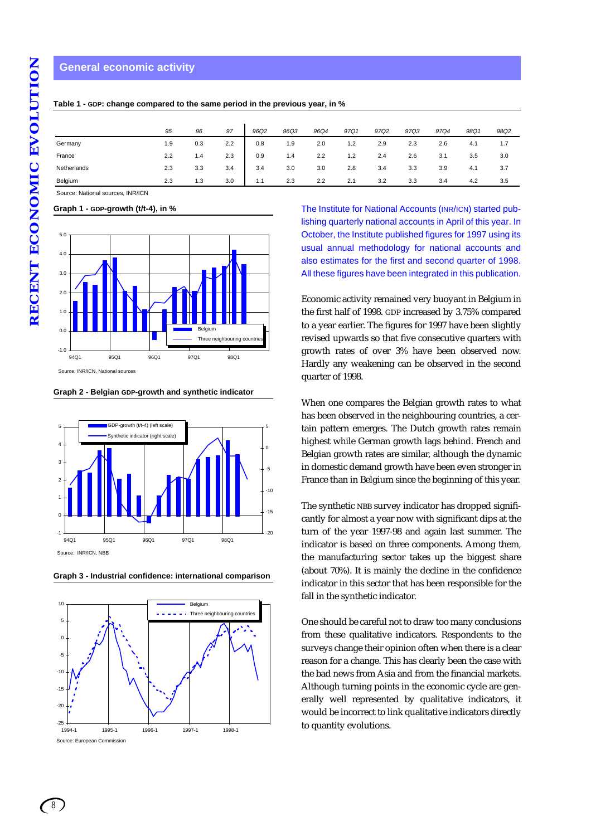#### **General economic activity**

|             | 95  | 96  | 97  | 96Q2 | 96Q3 | 96Q4 | 97Q1 | 97Q2 | 97Q3 | 97Q4 | 98Q1 | 98Q2 |
|-------------|-----|-----|-----|------|------|------|------|------|------|------|------|------|
| Germany     | 1.9 | 0.3 | 2.2 | 0.8  | 1.9  | 2.0  | 1.2  | 2.9  | 2.3  | 2.6  | 4.1  | 1.7  |
| France      | 2.2 | 1.4 | 2.3 | 0.9  | 1.4  | 2.2  | 1.2  | 2.4  | 2.6  | 3.1  | 3.5  | 3.0  |
| Netherlands | 2.3 | 3.3 | 3.4 | 3.4  | 3.0  | 3.0  | 2.8  | 3.4  | 3.3  | 3.9  | 4.1  | 3.7  |
| Belgium     | 2.3 | 1.3 | 3.0 | 1.1  | 2.3  | 2.2  | 2.1  | 3.2  | 3.3  | 3.4  | 4.2  | 3.5  |

**Table 1 - GDP: change compared to the same period in the previous year, in %**

Source: National sources, INR/ICN

**Graph 1 - GDP-growth (t/t-4), in %**



**Graph 2 - Belgian GDP-growth and synthetic indicator**



**Graph 3 - Industrial confidence: international comparison**



The Institute for National Accounts (INR/ICN) started publishing quarterly national accounts in April of this year. In October, the Institute published figures for 1997 using its usual annual methodology for national accounts and also estimates for the first and second quarter of 1998. All these figures have been integrated in this publication.

Economic activity remained very buoyant in Belgium in the first half of 1998. GDP increased by 3.75% compared to a year earlier. The figures for 1997 have been slightly revised upwards so that five consecutive quarters with growth rates of over 3% have been observed now. Hardly any weakening can be observed in the second quarter of 1998.

When one compares the Belgian growth rates to what has been observed in the neighbouring countries, a certain pattern emerges. The Dutch growth rates remain highest while German growth lags behind. French and Belgian growth rates are similar, although the dynamic in domestic demand growth have been even stronger in France than in Belgium since the beginning of this year.

The synthetic NBB survey indicator has dropped significantly for almost a year now with significant dips at the turn of the year 1997-98 and again last summer. The indicator is based on three components. Among them, the manufacturing sector takes up the biggest share (about 70%). It is mainly the decline in the confidence indicator in this sector that has been responsible for the fall in the synthetic indicator.

One should be careful not to draw too many conclusions from these qualitative indicators. Respondents to the surveys change their opinion often when there is a clear reason for a change. This has clearly been the case with the bad news from Asia and from the financial markets. Although turning points in the economic cycle are generally well represented by qualitative indicators, it would be incorrect to link qualitative indicators directly to quantity evolutions.

*8*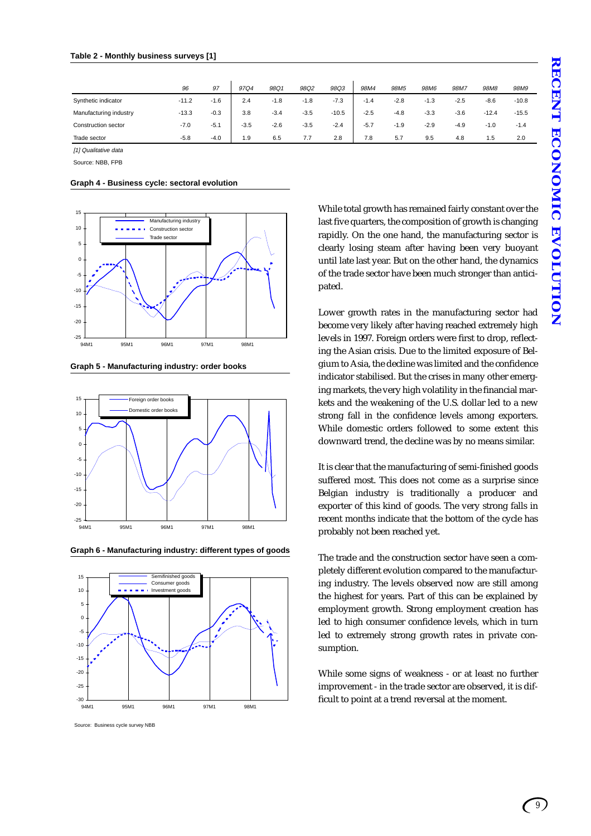|                        | 96      | 97     | 97Q4   | 98Q1   | 98Q2   | 98Q3    | 98M4   | 98M <sub>5</sub> | 98M6   | 98M7   | 98M <sub>8</sub> | 98M9    |
|------------------------|---------|--------|--------|--------|--------|---------|--------|------------------|--------|--------|------------------|---------|
| Synthetic indicator    | $-11.2$ | $-1.6$ | 2.4    | $-1.8$ | $-1.8$ | $-7.3$  | $-1.4$ | $-2.8$           | $-1.3$ | $-2.5$ | $-8.6$           | $-10.8$ |
| Manufacturing industry | $-13.3$ | $-0.3$ | 3.8    | $-3.4$ | $-3.5$ | $-10.5$ | $-2.5$ | $-4.8$           | $-3.3$ | $-3.6$ | $-12.4$          | $-15.5$ |
| Construction sector    | $-7.0$  | $-5.1$ | $-3.5$ | $-2.6$ | $-3.5$ | $-2.4$  | $-5.7$ | $-1.9$           | $-2.9$ | $-4.9$ | $-1.0$           | $-1.4$  |
| Trade sector           | $-5.8$  | $-4.0$ | 1.9    | 6.5    | 7.7    | 2.8     | 7.8    | 5.7              | 9.5    | 4.8    | 1.5              | 2.0     |

[1] Qualitative data

Source: NBB, FPB

| Graph 4 - Business cycle: sectoral evolution |  |  |  |
|----------------------------------------------|--|--|--|
|----------------------------------------------|--|--|--|



**Graph 5 - Manufacturing industry: order books**



**Graph 6 - Manufacturing industry: different types of goods**



Source: Business cycle survey NBB

While total growth has remained fairly constant over the last five quarters, the composition of growth is changing rapidly. On the one hand, the manufacturing sector is clearly losing steam after having been very buoyant until late last year. But on the other hand, the dynamics of the trade sector have been much stronger than anticipated.

Lower growth rates in the manufacturing sector had become very likely after having reached extremely high levels in 1997. Foreign orders were first to drop, reflecting the Asian crisis. Due to the limited exposure of Belgium to Asia, the decline was limited and the confidence indicator stabilised. But the crises in many other emerging markets, the very high volatility in the financial markets and the weakening of the U.S. dollar led to a new strong fall in the confidence levels among exporters. While domestic orders followed to some extent this downward trend, the decline was by no means similar.

It is clear that the manufacturing of semi-finished goods suffered most. This does not come as a surprise since Belgian industry is traditionally a producer and exporter of this kind of goods. The very strong falls in recent months indicate that the bottom of the cycle has probably not been reached yet.

The trade and the construction sector have seen a completely different evolution compared to the manufacturing industry. The levels observed now are still among the highest for years. Part of this can be explained by employment growth. Strong employment creation has led to high consumer confidence levels, which in turn led to extremely strong growth rates in private consumption.

While some signs of weakness - or at least no further improvement - in the trade sector are observed, it is difficult to point at a trend reversal at the moment.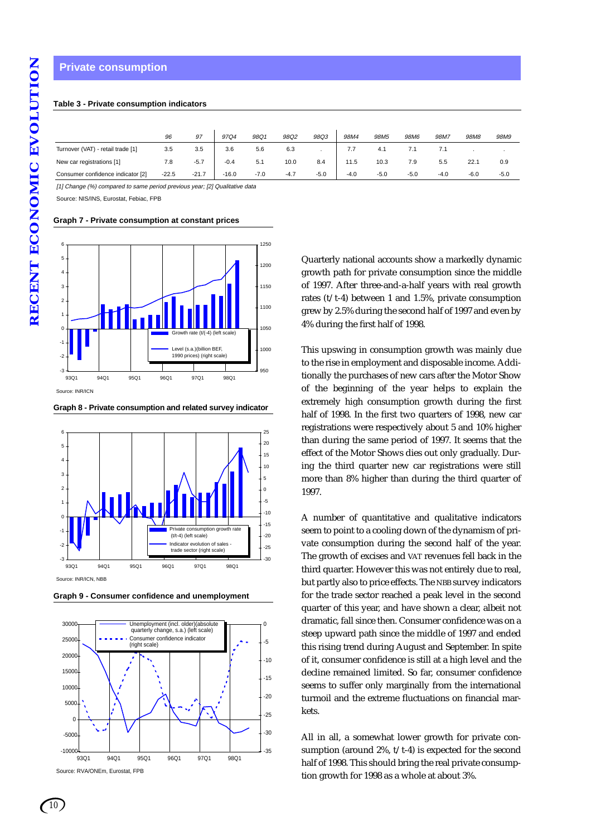## **Private consumption**

#### **Table 3 - Private consumption indicators**

|                                   | 96      | 97      | 97Q4    | 98Q1   | 98Q2   | 98Q3   | 98M4   | 98M <sub>5</sub> | 98M6   | 98M7   | 98M <sub>8</sub> | 98M9   |  |
|-----------------------------------|---------|---------|---------|--------|--------|--------|--------|------------------|--------|--------|------------------|--------|--|
| Turnover (VAT) - retail trade [1] | 3.5     | 3.5     | 3.6     | 5.6    | 6.3    |        | 7.7    | 4.1              | 7.1    |        |                  |        |  |
| New car registrations [1]         | 7.8     | $-5.7$  | $-0.4$  | 5.1    | 10.0   | 8.4    | 11.5   | 10.3             | 7.9    | 5.5    | 22.1             | 0.9    |  |
| Consumer confidence indicator [2] | $-22.5$ | $-21.7$ | $-16.0$ | $-7.0$ | $-4.7$ | $-5.0$ | $-4.0$ | $-5.0$           | $-5.0$ | $-4.0$ | $-6.0$           | $-5.0$ |  |

[1] Change (%) compared to same period previous year; [2] Qualitative data

Source: NIS/INS, Eurostat, Febiac, FPB

**Graph 7 - Private consumption at constant prices**



**Graph 8 - Private consumption and related survey indicator**



**Graph 9 - Consumer confidence and unemployment**



Source: RVA/ONEm, Eurostat, FPB

Quarterly national accounts show a markedly dynamic growth path for private consumption since the middle of 1997. After three-and-a-half years with real growth rates (t/t-4) between 1 and 1.5%, private consumption grew by 2.5% during the second half of 1997 and even by 4% during the first half of 1998.

This upswing in consumption growth was mainly due to the rise in employment and disposable income. Additionally the purchases of new cars after the Motor Show of the beginning of the year helps to explain the extremely high consumption growth during the first half of 1998. In the first two quarters of 1998, new car registrations were respectively about 5 and 10% higher than during the same period of 1997. It seems that the effect of the Motor Shows dies out only gradually. During the third quarter new car registrations were still more than 8% higher than during the third quarter of 1997.

A number of quantitative and qualitative indicators seem to point to a cooling down of the dynamism of private consumption during the second half of the year. The growth of excises and VAT revenues fell back in the third quarter. However this was not entirely due to real, but partly also to price effects. The NBB survey indicators for the trade sector reached a peak level in the second quarter of this year, and have shown a clear, albeit not dramatic, fall since then. Consumer confidence was on a steep upward path since the middle of 1997 and ended this rising trend during August and September. In spite of it, consumer confidence is still at a high level and the decline remained limited. So far, consumer confidence seems to suffer only marginally from the international turmoil and the extreme fluctuations on financial markets.

All in all, a somewhat lower growth for private consumption (around  $2\%$ ,  $t/t-4$ ) is expected for the second half of 1998. This should bring the real private consumption growth for 1998 as a whole at about 3%.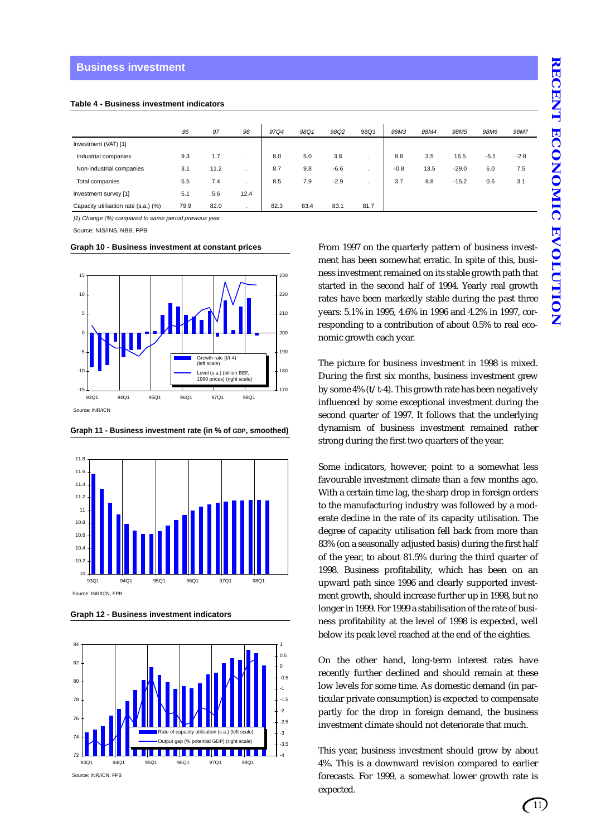#### **Business investment**

| Table 4 - Business investment indicators |  |  |
|------------------------------------------|--|--|
|------------------------------------------|--|--|

|                                      | 96   | 97   | 98           | 97Q4 | 98Q1 | 98Q2   | 98Q3                     | 98M3   | 98M4 | 98M <sub>5</sub> | 98M6   | 98M7   |
|--------------------------------------|------|------|--------------|------|------|--------|--------------------------|--------|------|------------------|--------|--------|
| Investment (VAT) [1]                 |      |      |              |      |      |        |                          |        |      |                  |        |        |
| Industrial companies                 | 9.3  | 1.7  |              | 8.0  | 5.0  | 3.8    |                          | 9.8    | 3.5  | 16.5             | $-5.1$ | $-2.8$ |
| Non-industrial companies             | 3.1  | 11.2 |              | 8.7  | 9.8  | $-6.6$ | $\overline{\phantom{a}}$ | $-0.8$ | 13.5 | $-29.0$          | 6.0    | 7.5    |
| Total companies                      | 5.5  | 7.4  |              | 8.5  | 7.9  | $-2.9$ | ٠                        | 3.7    | 8.8  | $-15.2$          | 0.6    | 3.1    |
| Investment survey [1]                | 5.1  | 5.6  | 12.4         |      |      |        |                          |        |      |                  |        |        |
| Capacity utilisation rate (s.a.) (%) | 79.9 | 82.0 | $\mathbf{r}$ | 82.3 | 83.4 | 83.1   | 81.7                     |        |      |                  |        |        |

[1] Change (%) compared to same period previous year

Source: NIS/INS, NBB, FPB

**Graph 10 - Business investment at constant prices**



**Graph 11 - Business investment rate (in % of GDP, smoothed)**



**Graph 12 - Business investment indicators**



From 1997 on the quarterly pattern of business investment has been somewhat erratic. In spite of this, business investment remained on its stable growth path that started in the second half of 1994. Yearly real growth rates have been markedly stable during the past three years: 5.1% in 1995, 4.6% in 1996 and 4.2% in 1997, corresponding to a contribution of about 0.5% to real economic growth each year.

The picture for business investment in 1998 is mixed. During the first six months, business investment grew by some 4% (t/t-4). This growth rate has been negatively influenced by some exceptional investment during the second quarter of 1997. It follows that the underlying dynamism of business investment remained rather strong during the first two quarters of the year.

Some indicators, however, point to a somewhat less favourable investment climate than a few months ago. With a certain time lag, the sharp drop in foreign orders to the manufacturing industry was followed by a moderate decline in the rate of its capacity utilisation. The degree of capacity utilisation fell back from more than 83% (on a seasonally adjusted basis) during the first half of the year, to about 81.5% during the third quarter of 1998. Business profitability, which has been on an upward path since 1996 and clearly supported investment growth, should increase further up in 1998, but no longer in 1999. For 1999 a stabilisation of the rate of business profitability at the level of 1998 is expected, well below its peak level reached at the end of the eighties.

On the other hand, long-term interest rates have recently further declined and should remain at these low levels for some time. As domestic demand (in particular private consumption) is expected to compensate partly for the drop in foreign demand, the business investment climate should not deteriorate that much.

This year, business investment should grow by about 4%. This is a downward revision compared to earlier forecasts. For 1999, a somewhat lower growth rate is expected.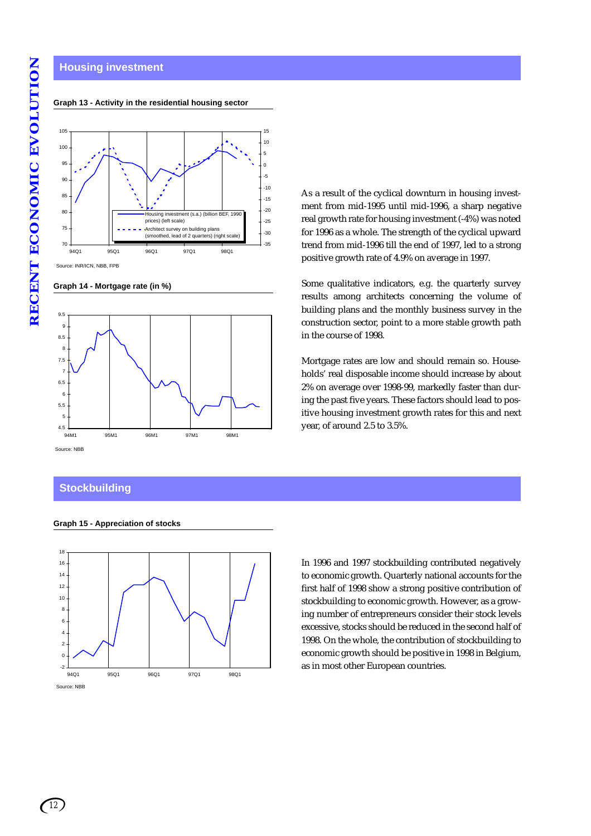# **Housing investment**

#### **Graph 13 - Activity in the residential housing sector**



Source: INR/ICN, NBB, FPB

**Graph 14 - Mortgage rate (in %)**



## **Stockbuilding**

**Graph 15 - Appreciation of stocks**



As a result of the cyclical downturn in housing investment from mid-1995 until mid-1996, a sharp negative real growth rate for housing investment (-4%) was noted for 1996 as a whole. The strength of the cyclical upward trend from mid-1996 till the end of 1997, led to a strong positive growth rate of 4.9% on average in 1997.

Some qualitative indicators, e.g. the quarterly survey results among architects concerning the volume of building plans and the monthly business survey in the construction sector, point to a more stable growth path in the course of 1998.

Mortgage rates are low and should remain so. Households' real disposable income should increase by about 2% on average over 1998-99, markedly faster than during the past five years. These factors should lead to positive housing investment growth rates for this and next year, of around 2.5 to 3.5%.

In 1996 and 1997 stockbuilding contributed negatively to economic growth. Quarterly national accounts for the first half of 1998 show a strong positive contribution of stockbuilding to economic growth. However, as a growing number of entrepreneurs consider their stock levels excessive, stocks should be reduced in the second half of 1998. On the whole, the contribution of stockbuilding to economic growth should be positive in 1998 in Belgium, as in most other European countries.

RECENT ECONOMIC EVOLUTION **RECENT ECONOMIC EVOLUTION**

## *12*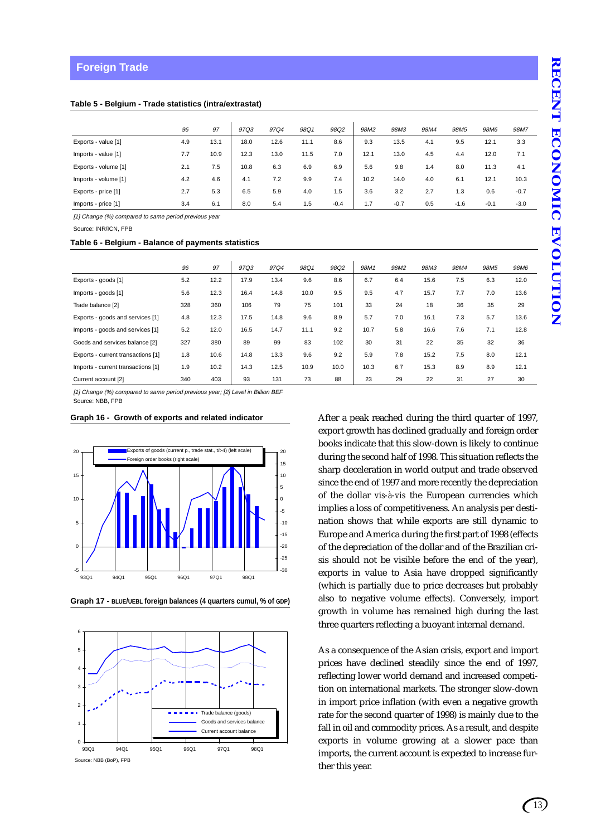|                      | 96  | 97   | 97Q3 | 97Q4 | 98Q1 | 98Q2   | 98M2 | 98M3   | 98M4 | 98M <sub>5</sub> | 98M6   | 98M7   |
|----------------------|-----|------|------|------|------|--------|------|--------|------|------------------|--------|--------|
| Exports - value [1]  | 4.9 | 13.1 | 18.0 | 12.6 | 11.1 | 8.6    | 9.3  | 13.5   | 4.1  | 9.5              | 12.1   | 3.3    |
| Imports - value [1]  | 7.7 | 10.9 | 12.3 | 13.0 | 11.5 | 7.0    | 12.1 | 13.0   | 4.5  | 4.4              | 12.0   | 7.1    |
| Exports - volume [1] | 2.1 | 7.5  | 10.8 | 6.3  | 6.9  | 6.9    | 5.6  | 9.8    | 1.4  | 8.0              | 11.3   | 4.1    |
| Imports - volume [1] | 4.2 | 4.6  | 4.1  | 7.2  | 9.9  | 7.4    | 10.2 | 14.0   | 4.0  | 6.1              | 12.1   | 10.3   |
| Exports - price [1]  | 2.7 | 5.3  | 6.5  | 5.9  | 4.0  | 1.5    | 3.6  | 3.2    | 2.7  | 1.3              | 0.6    | $-0.7$ |
| Imports - price [1]  | 3.4 | 6.1  | 8.0  | 5.4  | 1.5  | $-0.4$ | 1.7  | $-0.7$ | 0.5  | $-1.6$           | $-0.1$ | $-3.0$ |

[1] Change (%) compared to same period previous year

Source: INR/ICN, FPB

#### **Table 6 - Belgium - Balance of payments statistics**

|                                    | 96  | 97   | 97Q3 | 97Q4 | 98Q1 | 98Q2 | 98M1 | 98M2 | 98M3 | 98M4 | 98M <sub>5</sub> | 98M6 |
|------------------------------------|-----|------|------|------|------|------|------|------|------|------|------------------|------|
| Exports - goods [1]                | 5.2 | 12.2 | 17.9 | 13.4 | 9.6  | 8.6  | 6.7  | 6.4  | 15.6 | 7.5  | 6.3              | 12.0 |
| Imports - goods [1]                | 5.6 | 12.3 | 16.4 | 14.8 | 10.0 | 9.5  | 9.5  | 4.7  | 15.7 | 7.7  | 7.0              | 13.6 |
| Trade balance [2]                  | 328 | 360  | 106  | 79   | 75   | 101  | 33   | 24   | 18   | 36   | 35               | 29   |
| Exports - goods and services [1]   | 4.8 | 12.3 | 17.5 | 14.8 | 9.6  | 8.9  | 5.7  | 7.0  | 16.1 | 7.3  | 5.7              | 13.6 |
| Imports - goods and services [1]   | 5.2 | 12.0 | 16.5 | 14.7 | 11.1 | 9.2  | 10.7 | 5.8  | 16.6 | 7.6  | 7.1              | 12.8 |
| Goods and services balance [2]     | 327 | 380  | 89   | 99   | 83   | 102  | 30   | 31   | 22   | 35   | 32               | 36   |
| Exports - current transactions [1] | 1.8 | 10.6 | 14.8 | 13.3 | 9.6  | 9.2  | 5.9  | 7.8  | 15.2 | 7.5  | 8.0              | 12.1 |
| Imports - current transactions [1] | 1.9 | 10.2 | 14.3 | 12.5 | 10.9 | 10.0 | 10.3 | 6.7  | 15.3 | 8.9  | 8.9              | 12.1 |
| Current account [2]                | 340 | 403  | 93   | 131  | 73   | 88   | 23   | 29   | 22   | 31   | 27               | 30   |

[1] Change (%) compared to same period previous year; [2] Level in Billion BEF Source: NBB, FPB

#### **Graph 16 - Growth of exports and related indicator**



**Graph 17 - BLUE/UEBL foreign balances (4 quarters cumul, % of GDP)**



After a peak reached during the third quarter of 1997, export growth has declined gradually and foreign order books indicate that this slow-down is likely to continue during the second half of 1998. This situation reflects the sharp deceleration in world output and trade observed since the end of 1997 and more recently the depreciation of the dollar *vis-à-vis* the European currencies which implies a loss of competitiveness. An analysis per destination shows that while exports are still dynamic to Europe and America during the first part of 1998 (effects of the depreciation of the dollar and of the Brazilian crisis should not be visible before the end of the year), exports in value to Asia have dropped significantly (which is partially due to price decreases but probably also to negative volume effects). Conversely, import growth in volume has remained high during the last three quarters reflecting a buoyant internal demand.

As a consequence of the Asian crisis, export and import prices have declined steadily since the end of 1997, reflecting lower world demand and increased competition on international markets. The stronger slow-down in import price inflation (with even a negative growth rate for the second quarter of 1998) is mainly due to the fall in oil and commodity prices. As a result, and despite exports in volume growing at a slower pace than imports, the current account is expected to increase further this year.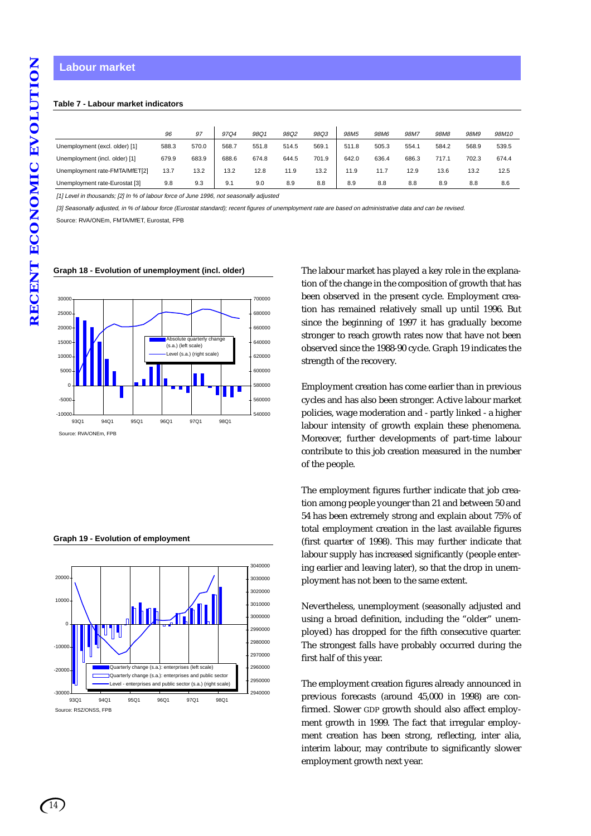#### **Labour market**

#### **Table 7 - Labour market indicators**

|                                | 96    | 97    | 97Q4  | 98Q1  | 98Q2  | 98Q3  | 98M <sub>5</sub> | <b>98M6</b> | 98M7  | 98M <sub>8</sub> | 98M9  | 98M10 |
|--------------------------------|-------|-------|-------|-------|-------|-------|------------------|-------------|-------|------------------|-------|-------|
| Unemployment (excl. older) [1] | 588.3 | 570.0 | 568.7 | 551.8 | 514.5 | 569.1 | 511.8            | 505.3       | 554.1 | 584.2            | 568.9 | 539.5 |
| Unemployment (incl. older) [1] | 679.9 | 683.9 | 688.6 | 674.8 | 644.5 | 701.9 | 642.0            | 636.4       | 686.3 | 717.1            | 702.3 | 674.4 |
| Unemployment rate-FMTA/MfET[2] | 13.7  | 13.2  | 13.2  | 12.8  | 11.9  | 13.2  | 11.9             | 11.7        | 12.9  | 13.6             | 13.2  | 12.5  |
| Unemployment rate-Eurostat [3] | 9.8   | 9.3   | 9.1   | 9.0   | 8.9   | 8.8   | 8.9              | 8.8         | 8.8   | 8.9              | 8.8   | 8.6   |

[1] Level in thousands; [2] In % of labour force of June 1996, not seasonally adjusted

[3] Seasonally adjusted, in % of labour force (Eurostat standard); recent figures of unemployment rate are based on administrative data and can be revised.

Source: RVA/ONEm, FMTA/MfET, Eurostat, FPB



#### **Graph 18 - Evolution of unemployment (incl. older)**

**Graph 19 - Evolution of employment**



The labour market has played a key role in the explanation of the change in the composition of growth that has been observed in the present cycle. Employment creation has remained relatively small up until 1996. But since the beginning of 1997 it has gradually become stronger to reach growth rates now that have not been observed since the 1988-90 cycle. Graph 19 indicates the strength of the recovery.

Employment creation has come earlier than in previous cycles and has also been stronger. Active labour market policies, wage moderation and - partly linked - a higher labour intensity of growth explain these phenomena. Moreover, further developments of part-time labour contribute to this job creation measured in the number of the people.

The employment figures further indicate that job creation among people younger than 21 and between 50 and 54 has been extremely strong and explain about 75% of total employment creation in the last available figures (first quarter of 1998). This may further indicate that labour supply has increased significantly (people entering earlier and leaving later), so that the drop in unemployment has not been to the same extent.

Nevertheless, unemployment (seasonally adjusted and using a broad definition, including the "older" unemployed) has dropped for the fifth consecutive quarter. The strongest falls have probably occurred during the first half of this year.

The employment creation figures already announced in previous forecasts (around 45,000 in 1998) are confirmed. Slower GDP growth should also affect employment growth in 1999. The fact that irregular employment creation has been strong, reflecting, inter alia, interim labour, may contribute to significantly slower employment growth next year.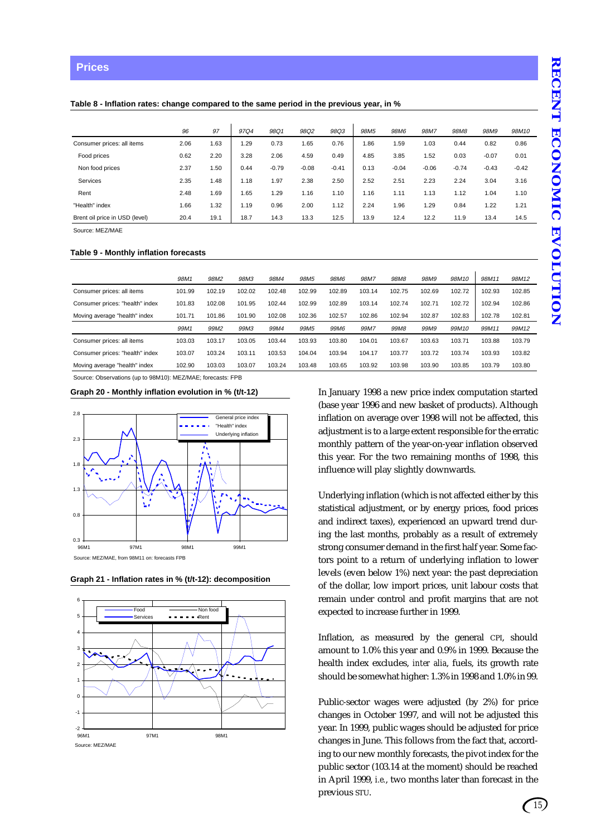#### **Prices**

#### **Table 8 - Inflation rates: change compared to the same period in the previous year, in %**

|                                | 96   | 97        | 97Q4 | 98Q1    | 98Q2    | 98Q3    | 98M <sub>5</sub> | 98M6    | 98M7    | 98M8    | 98M9    | 98M10   |
|--------------------------------|------|-----------|------|---------|---------|---------|------------------|---------|---------|---------|---------|---------|
| Consumer prices: all items     | 2.06 | <b>63</b> | 1.29 | 0.73    | 1.65    | 0.76    | 1.86             | 1.59    | 1.03    | 0.44    | 0.82    | 0.86    |
| Food prices                    | 0.62 | 2.20      | 3.28 | 2.06    | 4.59    | 0.49    | 4.85             | 3.85    | 1.52    | 0.03    | $-0.07$ | 0.01    |
| Non food prices                | 2.37 | .50       | 0.44 | $-0.79$ | $-0.08$ | $-0.41$ | 0.13             | $-0.04$ | $-0.06$ | $-0.74$ | $-0.43$ | $-0.42$ |
| <b>Services</b>                | 2.35 | .48       | 1.18 | 1.97    | 2.38    | 2.50    | 2.52             | 2.51    | 2.23    | 2.24    | 3.04    | 3.16    |
| Rent                           | 2.48 | .69       | 1.65 | 1.29    | 1.16    | 1.10    | 1.16             | 1.11    | 1.13    | 1.12    | 1.04    | 1.10    |
| "Health" index                 | 1.66 | .32       | 1.19 | 0.96    | 2.00    | 1.12    | 2.24             | 1.96    | 1.29    | 0.84    | 1.22    | 1.21    |
| Brent oil price in USD (level) | 20.4 | 19.1      | 18.7 | 14.3    | 13.3    | 12.5    | 13.9             | 12.4    | 12.2    | 11.9    | 13.4    | 14.5    |

Source: MEZ/MAE

#### **Table 9 - Monthly inflation forecasts**

|                                 | 98M1   | 98M2             | 98M3   | 98M4   | 98M <sub>5</sub> | 98M6   | 98M7   | 98M8   | 98M9   | 98M10  | 98M11  | 98M12  |
|---------------------------------|--------|------------------|--------|--------|------------------|--------|--------|--------|--------|--------|--------|--------|
| Consumer prices: all items      | 101.99 | 102.19           | 102.02 | 102.48 | 102.99           | 102.89 | 103.14 | 102.75 | 102.69 | 102.72 | 102.93 | 102.85 |
| Consumer prices: "health" index | 101.83 | 102.08           | 101.95 | 102.44 | 102.99           | 102.89 | 103.14 | 102.74 | 102.71 | 102.72 | 102.94 | 102.86 |
| Moving average "health" index   | 101.71 | 101.86           | 101.90 | 102.08 | 102.36           | 102.57 | 102.86 | 102.94 | 102.87 | 102.83 | 102.78 | 102.81 |
|                                 | 99M1   | 99M <sub>2</sub> | 99M3   | 99M4   | 99M <sub>5</sub> | 99M6   | 99M7   | 99M8   | 99M9   | 99M10  | 99M11  | 99M12  |
| Consumer prices: all items      | 103.03 | 103.17           | 103.05 | 103.44 | 103.93           | 103.80 | 104.01 | 103.67 | 103.63 | 103.71 | 103.88 | 103.79 |
| Consumer prices: "health" index | 103.07 | 103.24           | 103.11 | 103.53 | 104.04           | 103.94 | 104.17 | 103.77 | 103.72 | 103.74 | 103.93 | 103.82 |
| Moving average "health" index   | 102.90 | 103.03           | 103.07 | 103.24 | 103.48           | 103.65 | 103.92 | 103.98 | 103.90 | 103.85 | 103.79 | 103.80 |

Source: Observations (up to 98M10): MEZ/MAE; forecasts: FPB

#### **Graph 20 - Monthly inflation evolution in % (t/t-12)**







In January 1998 a new price index computation started (base year 1996 and new basket of products). Although inflation on average over 1998 will not be affected, this adjustment is to a large extent responsible for the erratic monthly pattern of the year-on-year inflation observed this year. For the two remaining months of 1998, this influence will play slightly downwards.

Underlying inflation (which is not affected either by this statistical adjustment, or by energy prices, food prices and indirect taxes), experienced an upward trend during the last months, probably as a result of extremely strong consumer demand in the first half year. Some factors point to a return of underlying inflation to lower levels (even below 1%) next year: the past depreciation of the dollar, low import prices, unit labour costs that remain under control and profit margins that are not expected to increase further in 1999.

Inflation, as measured by the general CPI, should amount to 1.0% this year and 0.9% in 1999. Because the health index excludes, *inter alia*, fuels, its growth rate should be somewhat higher: 1.3% in 1998 and 1.0% in 99.

Public-sector wages were adjusted (by 2%) for price changes in October 1997, and will not be adjusted this year. In 1999, public wages should be adjusted for price changes in June. This follows from the fact that, according to our new monthly forecasts, the pivot index for the public sector (103.14 at the moment) should be reached in April 1999, *i.e.*, two months later than forecast in the previous STU.

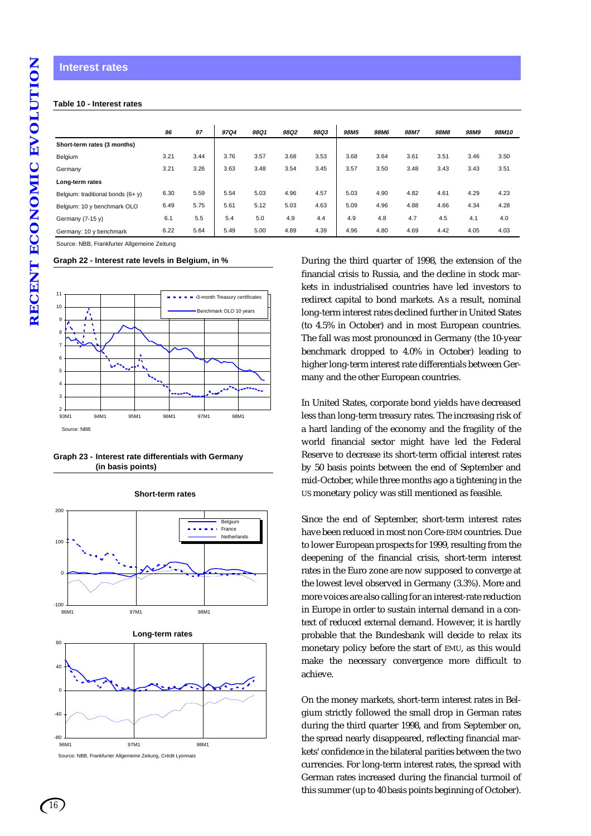#### **Table 10 - Interest rates**

|                                   | 96   | 97   | <b>97Q4</b> | <b>98Q1</b> | <b>98Q2</b> | <b>98Q3</b> | <b>98M5</b> | <b>98M6</b> | 98M7 | <b>98M8</b> | <b>98M9</b> | 98M10 |
|-----------------------------------|------|------|-------------|-------------|-------------|-------------|-------------|-------------|------|-------------|-------------|-------|
| Short-term rates (3 months)       |      |      |             |             |             |             |             |             |      |             |             |       |
| Belgium                           | 3.21 | 3.44 | 3.76        | 3.57        | 3.68        | 3.53        | 3.68        | 3.64        | 3.61 | 3.51        | 3.46        | 3.50  |
| Germany                           | 3.21 | 3.26 | 3.63        | 3.48        | 3.54        | 3.45        | 3.57        | 3.50        | 3.48 | 3.43        | 3.43        | 3.51  |
| Long-term rates                   |      |      |             |             |             |             |             |             |      |             |             |       |
| Belgium: traditional bonds (6+ y) | 6.30 | 5.59 | 5.54        | 5.03        | 4.96        | 4.57        | 5.03        | 4.90        | 4.82 | 4.61        | 4.29        | 4.23  |
| Belgium: 10 y benchmark OLO       | 6.49 | 5.75 | 5.61        | 5.12        | 5.03        | 4.63        | 5.09        | 4.96        | 4.88 | 4.66        | 4.34        | 4.28  |
| Germany (7-15 y)                  | 6.1  | 5.5  | 5.4         | 5.0         | 4.9         | 4.4         | 4.9         | 4.8         | 4.7  | 4.5         | 4.1         | 4.0   |
| Germany: 10 y benchmark           | 6.22 | 5.64 | 5.49        | 5.00        | 4.89        | 4.39        | 4.96        | 4.80        | 4.69 | 4.42        | 4.05        | 4.03  |

Source: NBB, Frankfurter Allgemeine Zeitung

#### **Graph 22 - Interest rate levels in Belgium, in %**



#### **Graph 23 - Interest rate differentials with Germany (in basis points)**



96M1 97M1 98M1 Source: NBB, Frankfurter Allgemeine Zeitung, Crédit Lyonnais

**Short-term rates**

During the third quarter of 1998, the extension of the financial crisis to Russia, and the decline in stock markets in industrialised countries have led investors to redirect capital to bond markets. As a result, nominal long-term interest rates declined further in United States (to 4.5% in October) and in most European countries. The fall was most pronounced in Germany (the 10-year benchmark dropped to 4.0% in October) leading to higher long-term interest rate differentials between Germany and the other European countries.

In United States, corporate bond yields have decreased less than long-term treasury rates. The increasing risk of a hard landing of the economy and the fragility of the world financial sector might have led the Federal Reserve to decrease its short-term official interest rates by 50 basis points between the end of September and mid-October, while three months ago a tightening in the US monetary policy was still mentioned as feasible.

Since the end of September, short-term interest rates have been reduced in most non Core-ERM countries. Due to lower European prospects for 1999, resulting from the deepening of the financial crisis, short-term interest rates in the Euro zone are now supposed to converge at the lowest level observed in Germany (3.3%). More and more voices are also calling for an interest-rate reduction in Europe in order to sustain internal demand in a context of reduced external demand. However, it is hardly probable that the Bundesbank will decide to relax its monetary policy before the start of EMU, as this would make the necessary convergence more difficult to achieve.

On the money markets, short-term interest rates in Belgium strictly followed the small drop in German rates during the third quarter 1998, and from September on, the spread nearly disappeared, reflecting financial markets' confidence in the bilateral parities between the two currencies. For long-term interest rates, the spread with German rates increased during the financial turmoil of this summer (up to 40 basis points beginning of October).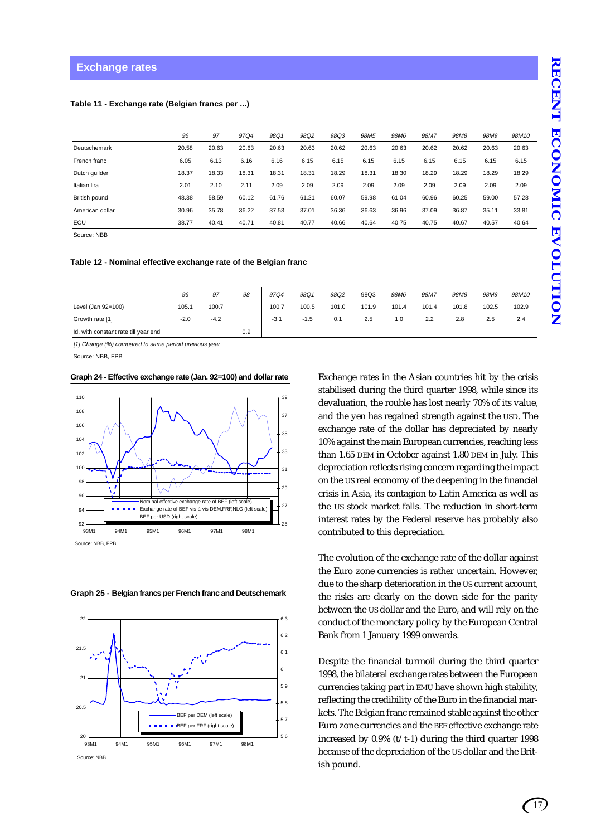|                 | 96    | 97    | 97Q4  | 98Q1  | 98Q2  | 98Q3  | 98M <sub>5</sub> | <b>98M6</b> | 98M7  | 98M8  | 98M9  | 98M10 |
|-----------------|-------|-------|-------|-------|-------|-------|------------------|-------------|-------|-------|-------|-------|
| Deutschemark    | 20.58 | 20.63 | 20.63 | 20.63 | 20.63 | 20.62 | 20.63            | 20.63       | 20.62 | 20.62 | 20.63 | 20.63 |
| French franc    | 6.05  | 6.13  | 6.16  | 6.16  | 6.15  | 6.15  | 6.15             | 6.15        | 6.15  | 6.15  | 6.15  | 6.15  |
| Dutch quilder   | 18.37 | 18.33 | 18.31 | 18.31 | 18.31 | 18.29 | 18.31            | 18.30       | 18.29 | 18.29 | 18.29 | 18.29 |
| Italian lira    | 2.01  | 2.10  | 2.11  | 2.09  | 2.09  | 2.09  | 2.09             | 2.09        | 2.09  | 2.09  | 2.09  | 2.09  |
| British pound   | 48.38 | 58.59 | 60.12 | 61.76 | 61.21 | 60.07 | 59.98            | 61.04       | 60.96 | 60.25 | 59.00 | 57.28 |
| American dollar | 30.96 | 35.78 | 36.22 | 37.53 | 37.01 | 36.36 | 36.63            | 36.96       | 37.09 | 36.87 | 35.11 | 33.81 |
| ECU             | 38.77 | 40.41 | 40.71 | 40.81 | 40.77 | 40.66 | 40.64            | 40.75       | 40.75 | 40.67 | 40.57 | 40.64 |
| Source: NBB     |       |       |       |       |       |       |                  |             |       |       |       |       |

**Table 11 - Exchange rate (Belgian francs per ...)**

**Table 12 - Nominal effective exchange rate of the Belgian franc**

|                                      | 96     | 97     | 98  | 97Q4   | 98Q1   | 98Q2  | 98Q3  | 98M6  | 98M7  | 98M <sub>8</sub> | 98M9  | 98M10 |
|--------------------------------------|--------|--------|-----|--------|--------|-------|-------|-------|-------|------------------|-------|-------|
| Level (Jan.92=100)                   | 105.1  | 100.7  |     | 100.7  | 100.5  | 101.0 | 101.9 | 101.4 | 101.4 | 101.8            | 102.5 | 102.9 |
| Growth rate [1]                      | $-2.0$ | $-4.2$ |     | $-3.1$ | $-1.5$ | 0.1   | 2.5   | 1.0   | 2.2   | 2.8              | 2.5   | 2.4   |
| Id. with constant rate till year end |        |        | 0.9 |        |        |       |       |       |       |                  |       |       |

[1] Change (%) compared to same period previous year

Source: NBB, FPB

**Graph 24 - Effective exchange rate (Jan. 92=100) and dollar rate**



**Graph 25 - Belgian francs per French franc and Deutschemark**



Exchange rates in the Asian countries hit by the crisis stabilised during the third quarter 1998, while since its devaluation, the rouble has lost nearly 70% of its value, and the yen has regained strength against the USD. The exchange rate of the dollar has depreciated by nearly 10% against the main European currencies, reaching less than 1.65 DEM in October against 1.80 DEM in July. This depreciation reflects rising concern regarding the impact on the US real economy of the deepening in the financial crisis in Asia, its contagion to Latin America as well as the US stock market falls. The reduction in short-term interest rates by the Federal reserve has probably also contributed to this depreciation.

The evolution of the exchange rate of the dollar against the Euro zone currencies is rather uncertain. However, due to the sharp deterioration in the US current account, the risks are clearly on the down side for the parity between the US dollar and the Euro, and will rely on the conduct of the monetary policy by the European Central Bank from 1 January 1999 onwards.

Despite the financial turmoil during the third quarter 1998, the bilateral exchange rates between the European currencies taking part in EMU have shown high stability, reflecting the credibility of the Euro in the financial markets. The Belgian franc remained stable against the other Euro zone currencies and the BEF effective exchange rate increased by  $0.9\%$  (t/t-1) during the third quarter 1998 because of the depreciation of the US dollar and the British pound.

## *17*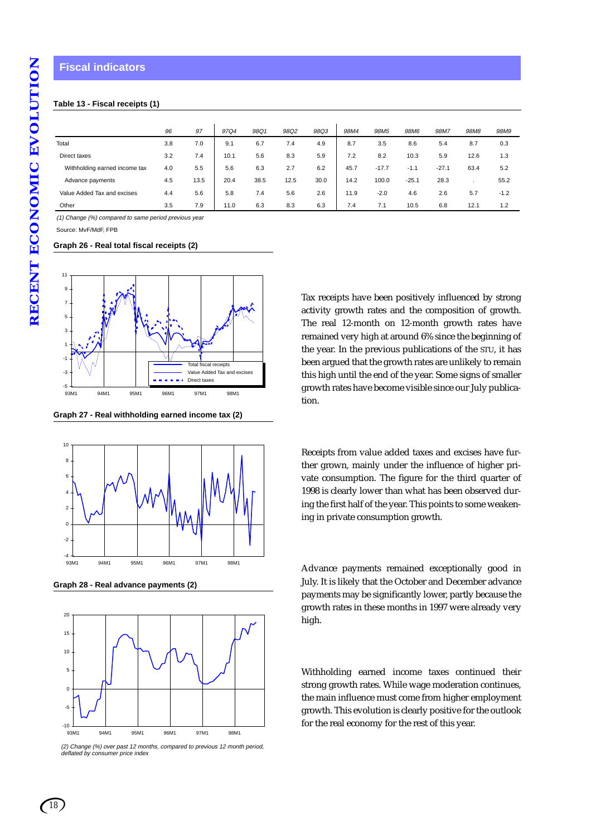#### **Fiscal indicators**

#### **Table 13 - Fiscal receipts (1)**

|                               | 96  | 97   | 97Q4 | 98Q1 | 98Q2 | 98Q3 | 98M4 | 98M <sub>5</sub> | 98M6    | 98M7    | 98M8 | 98M9   |
|-------------------------------|-----|------|------|------|------|------|------|------------------|---------|---------|------|--------|
| Total                         |     | 7.0  |      |      | 7.4  | 4.9  | 8.7  | 3.5              | 8.6     | 5.4     |      |        |
|                               | 3.8 |      | 9.1  | 6.7  |      |      |      |                  |         |         | 8.7  | 0.3    |
| Direct taxes                  | 3.2 | 7.4  | 10.1 | 5.6  | 8.3  | 5.9  | 7.2  | 8.2              | 10.3    | 5.9     | 12.6 | 1.3    |
| Withholding earned income tax | 4.0 | 5.5  | 5.6  | 6.3  | 2.7  | 6.2  | 45.7 | $-17.7$          | $-1.1$  | $-27.1$ | 63.4 | 5.2    |
| Advance payments              | 4.5 | 13.5 | 20.4 | 38.5 | 12.5 | 30.0 | 14.2 | 100.0            | $-25.1$ | 28.3    |      | 55.2   |
| Value Added Tax and excises   | 4.4 | 5.6  | 5.8  | 7.4  | 5.6  | 2.6  | 11.9 | $-2.0$           | 4.6     | 2.6     | 5.7  | $-1.2$ |
| Other                         | 3.5 | 7.9  | 11.0 | 6.3  | 8.3  | 6.3  | 7.4  | 7.1              | 10.5    | 6.8     | 12.1 | 1.2    |

(1) Change (%) compared to same period previous year

Source: MvF/MdF, FPB

#### **Graph 26 - Real total fiscal receipts (2)**



**Graph 27 - Real withholding earned income tax (2)**



**Graph 28 - Real advance payments (2)**



(2) Change (%) over past 12 months, compared to previous 12 month period, deflated by consumer price index

Tax receipts have been positively influenced by strong activity growth rates and the composition of growth. The real 12-month on 12-month growth rates have remained very high at around 6% since the beginning of the year. In the previous publications of the STU, it has been argued that the growth rates are unlikely to remain this high until the end of the year. Some signs of smaller growth rates have become visible since our July publication.

Receipts from value added taxes and excises have further grown, mainly under the influence of higher private consumption. The figure for the third quarter of 1998 is clearly lower than what has been observed during the first half of the year. This points to some weakening in private consumption growth.

Advance payments remained exceptionally good in July. It is likely that the October and December advance payments may be significantly lower, partly because the growth rates in these months in 1997 were already very high.

Withholding earned income taxes continued their strong growth rates. While wage moderation continues, the main influence must come from higher employment growth. This evolution is clearly positive for the outlook for the real economy for the rest of this year.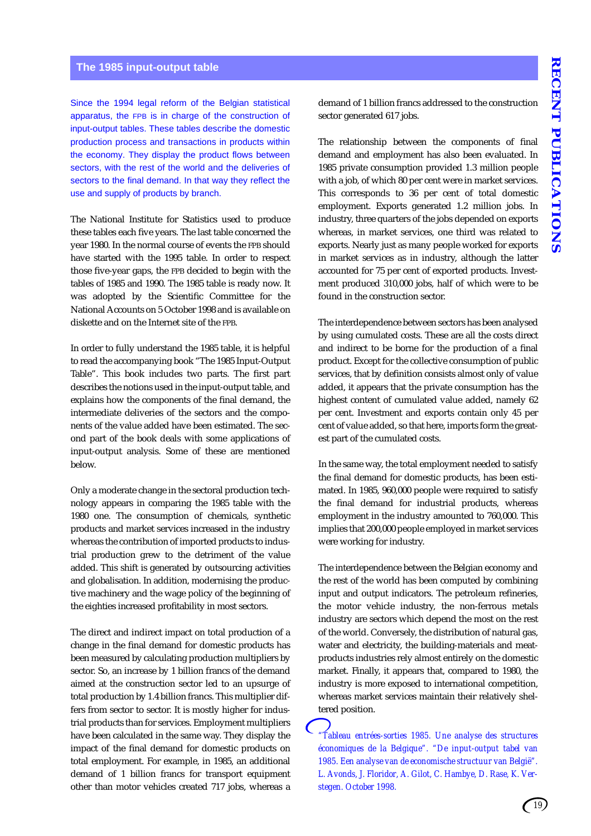## **The 1985 input-output table**

Since the 1994 legal reform of the Belgian statistical apparatus, the FPB is in charge of the construction of input-output tables. These tables describe the domestic production process and transactions in products within the economy. They display the product flows between sectors, with the rest of the world and the deliveries of sectors to the final demand. In that way they reflect the use and supply of products by branch.

The National Institute for Statistics used to produce these tables each five years. The last table concerned the year 1980. In the normal course of events the FPB should have started with the 1995 table. In order to respect those five-year gaps, the FPB decided to begin with the tables of 1985 and 1990. The 1985 table is ready now. It was adopted by the Scientific Committee for the National Accounts on 5 October 1998 and is available on diskette and on the Internet site of the FPB.

In order to fully understand the 1985 table, it is helpful to read the accompanying book "The 1985 Input-Output Table". This book includes two parts. The first part describes the notions used in the input-output table, and explains how the components of the final demand, the intermediate deliveries of the sectors and the components of the value added have been estimated. The second part of the book deals with some applications of input-output analysis. Some of these are mentioned below.

Only a moderate change in the sectoral production technology appears in comparing the 1985 table with the 1980 one. The consumption of chemicals, synthetic products and market services increased in the industry whereas the contribution of imported products to industrial production grew to the detriment of the value added. This shift is generated by outsourcing activities and globalisation. In addition, modernising the productive machinery and the wage policy of the beginning of the eighties increased profitability in most sectors.

The direct and indirect impact on total production of a change in the final demand for domestic products has been measured by calculating production multipliers by sector. So, an increase by 1 billion francs of the demand aimed at the construction sector led to an upsurge of total production by 1.4 billion francs. This multiplier differs from sector to sector. It is mostly higher for industrial products than for services. Employment multipliers have been calculated in the same way. They display the impact of the final demand for domestic products on total employment. For example, in 1985, an additional demand of 1 billion francs for transport equipment other than motor vehicles created 717 jobs, whereas a

demand of 1 billion francs addressed to the construction sector generated 617 jobs.

The relationship between the components of final demand and employment has also been evaluated. In 1985 private consumption provided 1.3 million people with a job, of which 80 per cent were in market services. This corresponds to 36 per cent of total domestic employment. Exports generated 1.2 million jobs. In industry, three quarters of the jobs depended on exports whereas, in market services, one third was related to exports. Nearly just as many people worked for exports in market services as in industry, although the latter accounted for 75 per cent of exported products. Investment produced 310,000 jobs, half of which were to be found in the construction sector.

The interdependence between sectors has been analysed by using cumulated costs. These are all the costs direct and indirect to be borne for the production of a final product. Except for the collective consumption of public services, that by definition consists almost only of value added, it appears that the private consumption has the highest content of cumulated value added, namely 62 per cent. Investment and exports contain only 45 per cent of value added, so that here, imports form the greatest part of the cumulated costs.

In the same way, the total employment needed to satisfy the final demand for domestic products, has been estimated. In 1985, 960,000 people were required to satisfy the final demand for industrial products, whereas employment in the industry amounted to 760,000. This implies that 200,000 people employed in market services were working for industry.

The interdependence between the Belgian economy and the rest of the world has been computed by combining input and output indicators. The petroleum refineries, the motor vehicle industry, the non-ferrous metals industry are sectors which depend the most on the rest of the world. Conversely, the distribution of natural gas, water and electricity, the building-materials and meatproducts industries rely almost entirely on the domestic market. Finally, it appears that, compared to 1980, the industry is more exposed to international competition, whereas market services maintain their relatively sheltered position.

*"Tableau entrées-sorties 1985. Une analyse des structures économiques de la Belgique". "De input-output tabel van 1985. Een analyse van de economische structuur van België". L. Avonds, J. Floridor, A. Gilot, C. Hambye, D. Rase, K. Verstegen. October 1998.*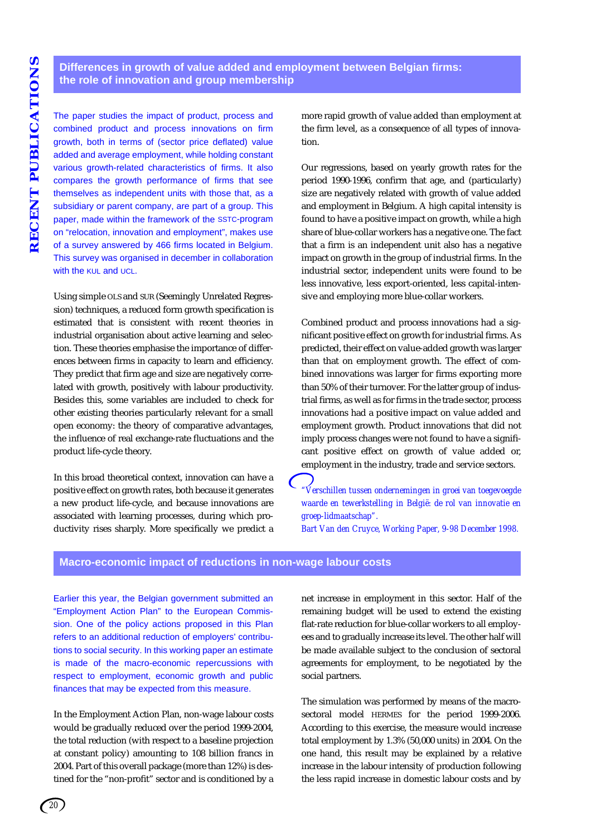## **Differences in growth of value added and employment between Belgian firms: the role of innovation and group membership**

The paper studies the impact of product, process and combined product and process innovations on firm growth, both in terms of (sector price deflated) value added and average employment, while holding constant various growth-related characteristics of firms. It also compares the growth performance of firms that see themselves as independent units with those that, as a subsidiary or parent company, are part of a group. This paper, made within the framework of the SSTC-program on "relocation, innovation and employment", makes use of a survey answered by 466 firms located in Belgium. This survey was organised in december in collaboration with the KUL and UCL.

Using simple OLS and SUR (Seemingly Unrelated Regression) techniques, a reduced form growth specification is estimated that is consistent with recent theories in industrial organisation about active learning and selection. These theories emphasise the importance of differences between firms in capacity to learn and efficiency. They predict that firm age and size are negatively correlated with growth, positively with labour productivity. Besides this, some variables are included to check for other existing theories particularly relevant for a small open economy: the theory of comparative advantages, the influence of real exchange-rate fluctuations and the product life-cycle theory.

In this broad theoretical context, innovation can have a positive effect on growth rates, both because it generates a new product life-cycle, and because innovations are associated with learning processes, during which productivity rises sharply. More specifically we predict a more rapid growth of value added than employment at the firm level, as a consequence of all types of innovation.

Our regressions, based on yearly growth rates for the period 1990-1996, confirm that age, and (particularly) size are negatively related with growth of value added and employment in Belgium. A high capital intensity is found to have a positive impact on growth, while a high share of blue-collar workers has a negative one. The fact that a firm is an independent unit also has a negative impact on growth in the group of industrial firms. In the industrial sector, independent units were found to be less innovative, less export-oriented, less capital-intensive and employing more blue-collar workers.

Combined product and process innovations had a significant positive effect on growth for industrial firms. As predicted, their effect on value-added growth was larger than that on employment growth. The effect of combined innovations was larger for firms exporting more than 50% of their turnover. For the latter group of industrial firms, as well as for firms in the trade sector, process innovations had a positive impact on value added and employment growth. Product innovations that did not imply process changes were not found to have a significant positive effect on growth of value added or, employment in the industry, trade and service sectors.

*"Verschillen tussen ondernemingen in groei van toegevoegde waarde en tewerkstelling in België: de rol van innovatie en groep-lidmaatschap".*

*Bart Van den Cruyce, Working Paper, 9-98 December 1998.*

#### **Macro-economic impact of reductions in non-wage labour costs**

Earlier this year, the Belgian government submitted an "Employment Action Plan" to the European Commission. One of the policy actions proposed in this Plan refers to an additional reduction of employers' contributions to social security. In this working paper an estimate is made of the macro-economic repercussions with respect to employment, economic growth and public finances that may be expected from this measure.

In the Employment Action Plan, non-wage labour costs would be gradually reduced over the period 1999-2004, the total reduction (with respect to a baseline projection at constant policy) amounting to 108 billion francs in 2004. Part of this overall package (more than 12%) is destined for the "non-profit" sector and is conditioned by a net increase in employment in this sector. Half of the remaining budget will be used to extend the existing flat-rate reduction for blue-collar workers to all employees and to gradually increase its level. The other half will be made available subject to the conclusion of sectoral agreements for employment, to be negotiated by the social partners.

The simulation was performed by means of the macrosectoral model HERMES for the period 1999-2006. According to this exercise, the measure would increase total employment by 1.3% (50,000 units) in 2004. On the one hand, this result may be explained by a relative increase in the labour intensity of production following the less rapid increase in domestic labour costs and by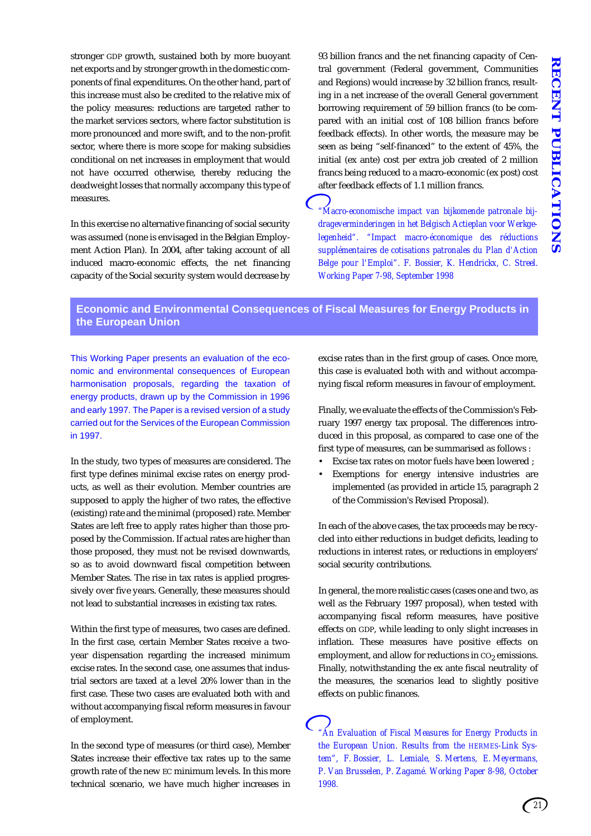stronger GDP growth, sustained both by more buoyant net exports and by stronger growth in the domestic components of final expenditures. On the other hand, part of this increase must also be credited to the relative mix of the policy measures: reductions are targeted rather to the market services sectors, where factor substitution is more pronounced and more swift, and to the non-profit sector, where there is more scope for making subsidies conditional on net increases in employment that would not have occurred otherwise, thereby reducing the deadweight losses that normally accompany this type of measures.

In this exercise no alternative financing of social security was assumed (none is envisaged in the Belgian Employment Action Plan). In 2004, after taking account of all induced macro-economic effects, the net financing capacity of the Social security system would decrease by 93 billion francs and the net financing capacity of Central government (Federal government, Communities and Regions) would increase by 32 billion francs, resulting in a net increase of the overall General government borrowing requirement of 59 billion francs (to be compared with an initial cost of 108 billion francs before feedback effects). In other words, the measure may be seen as being "self-financed" to the extent of 45%, the initial (ex ante) cost per extra job created of 2 million francs being reduced to a macro-economic (ex post) cost after feedback effects of 1.1 million francs.

*"Macro-economische impact van bijkomende patronale bijdrageverminderingen in het Belgisch Actieplan voor Werkgelegenheid". "Impact macro-économique des réductions supplémentaires de cotisations patronales du Plan d'Action Belge pour l'Emploi". F. Bossier, K. Hendrickx, C. Streel. Working Paper 7-98, September 1998*

## **Economic and Environmental Consequences of Fiscal Measures for Energy Products in the European Union**

This Working Paper presents an evaluation of the economic and environmental consequences of European harmonisation proposals, regarding the taxation of energy products, drawn up by the Commission in 1996 and early 1997. The Paper is a revised version of a study carried out for the Services of the European Commission in 1997.

In the study, two types of measures are considered. The first type defines minimal excise rates on energy products, as well as their evolution. Member countries are supposed to apply the higher of two rates, the effective (existing) rate and the minimal (proposed) rate. Member States are left free to apply rates higher than those proposed by the Commission. If actual rates are higher than those proposed, they must not be revised downwards, so as to avoid downward fiscal competition between Member States. The rise in tax rates is applied progressively over five years. Generally, these measures should not lead to substantial increases in existing tax rates.

Within the first type of measures, two cases are defined. In the first case, certain Member States receive a twoyear dispensation regarding the increased minimum excise rates. In the second case, one assumes that industrial sectors are taxed at a level 20% lower than in the first case. These two cases are evaluated both with and without accompanying fiscal reform measures in favour of employment.

In the second type of measures (or third case), Member States increase their effective tax rates up to the same growth rate of the new EC minimum levels. In this more technical scenario, we have much higher increases in excise rates than in the first group of cases. Once more, this case is evaluated both with and without accompanying fiscal reform measures in favour of employment.

Finally, we evaluate the effects of the Commission's February 1997 energy tax proposal. The differences introduced in this proposal, as compared to case one of the first type of measures, can be summarised as follows :

- Excise tax rates on motor fuels have been lowered ;
- Exemptions for energy intensive industries are implemented (as provided in article 15, paragraph 2 of the Commission's Revised Proposal).

In each of the above cases, the tax proceeds may be recycled into either reductions in budget deficits, leading to reductions in interest rates, or reductions in employers' social security contributions.

In general, the more realistic cases (cases one and two, as well as the February 1997 proposal), when tested with accompanying fiscal reform measures, have positive effects on GDP, while leading to only slight increases in inflation. These measures have positive effects on employment, and allow for reductions in  $CO<sub>2</sub>$  emissions. Finally, notwithstanding the ex ante fiscal neutrality of the measures, the scenarios lead to slightly positive effects on public finances.

*"An Evaluation of Fiscal Measures for Energy Products in the European Union. Results from the HERMES-Link System", F. Bossier, L. Lemiale, S. Mertens, E. Meyermans, P. Van Brusselen, P. Zagamé. Working Paper 8-98, October 1998.*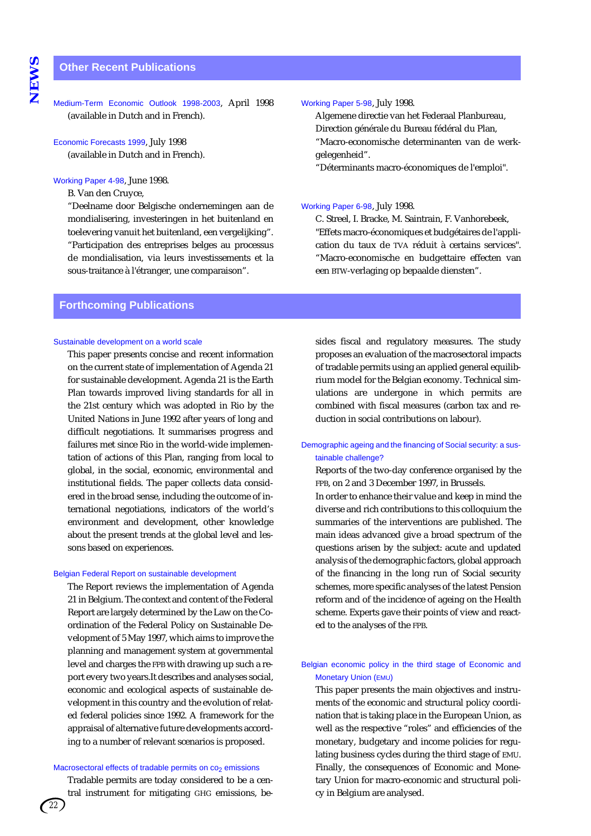#### **Other Recent Publications**

Medium-Term Economic Outlook 1998-2003, April 1998 (available in Dutch and in French).

Economic Forecasts 1999, July 1998 (available in Dutch and in French).

Working Paper 4-98, June 1998.

B. Van den Cruyce,

"Deelname door Belgische ondernemingen aan de mondialisering, investeringen in het buitenland en toelevering vanuit het buitenland, een vergelijking". "Participation des entreprises belges au processus de mondialisation, via leurs investissements et la sous-traitance à l'étranger, une comparaison".

#### **Forthcoming Publications**

#### Sustainable development on a world scale

This paper presents concise and recent information on the current state of implementation of Agenda 21 for sustainable development. Agenda 21 is the Earth Plan towards improved living standards for all in the 21st century which was adopted in Rio by the United Nations in June 1992 after years of long and difficult negotiations. It summarises progress and failures met since Rio in the world-wide implementation of actions of this Plan, ranging from local to global, in the social, economic, environmental and institutional fields. The paper collects data considered in the broad sense, including the outcome of international negotiations, indicators of the world's environment and development, other knowledge about the present trends at the global level and lessons based on experiences.

#### Belgian Federal Report on sustainable development

The Report reviews the implementation of Agenda 21 in Belgium. The context and content of the Federal Report are largely determined by the Law on the Coordination of the Federal Policy on Sustainable Development of 5 May 1997, which aims to improve the planning and management system at governmental level and charges the FPB with drawing up such a report every two years.It describes and analyses social, economic and ecological aspects of sustainable development in this country and the evolution of related federal policies since 1992. A framework for the appraisal of alternative future developments according to a number of relevant scenarios is proposed.

#### Macrosectoral effects of tradable permits on  $co<sub>2</sub>$  emissions

Tradable permits are today considered to be a central instrument for mitigating GHG emissions, besides fiscal and regulatory measures. The study proposes an evaluation of the macrosectoral impacts of tradable permits using an applied general equilibrium model for the Belgian economy. Technical simulations are undergone in which permits are combined with fiscal measures (carbon tax and reduction in social contributions on labour).

Working Paper 5-98, July 1998.

Working Paper 6-98, July 1998.

gelegenheid".

Algemene directie van het Federaal Planbureau, Direction générale du Bureau fédéral du Plan, "Macro-economische determinanten van de werk-

"Déterminants macro-économiques de l'emploi".

C. Streel, I. Bracke, M. Saintrain, F. Vanhorebeek, "Effets macro-économiques et budgétaires de l'application du taux de TVA réduit à certains services". "Macro-economische en budgettaire effecten van

een BTW-verlaging op bepaalde diensten".

#### Demographic ageing and the financing of Social security: a sustainable challenge?

Reports of the two-day conference organised by the FPB, on 2 and 3 December 1997, in Brussels.

In order to enhance their value and keep in mind the diverse and rich contributions to this colloquium the summaries of the interventions are published. The main ideas advanced give a broad spectrum of the questions arisen by the subject: acute and updated analysis of the demographic factors, global approach of the financing in the long run of Social security schemes, more specific analyses of the latest Pension reform and of the incidence of ageing on the Health scheme. Experts gave their points of view and reacted to the analyses of the FPB.

#### Belgian economic policy in the third stage of Economic and Monetary Union (EMU)

This paper presents the main objectives and instruments of the economic and structural policy coordination that is taking place in the European Union, as well as the respective "roles" and efficiencies of the monetary, budgetary and income policies for regulating business cycles during the third stage of EMU. Finally, the consequences of Economic and Monetary Union for macro-economic and structural policy in Belgium are analysed.

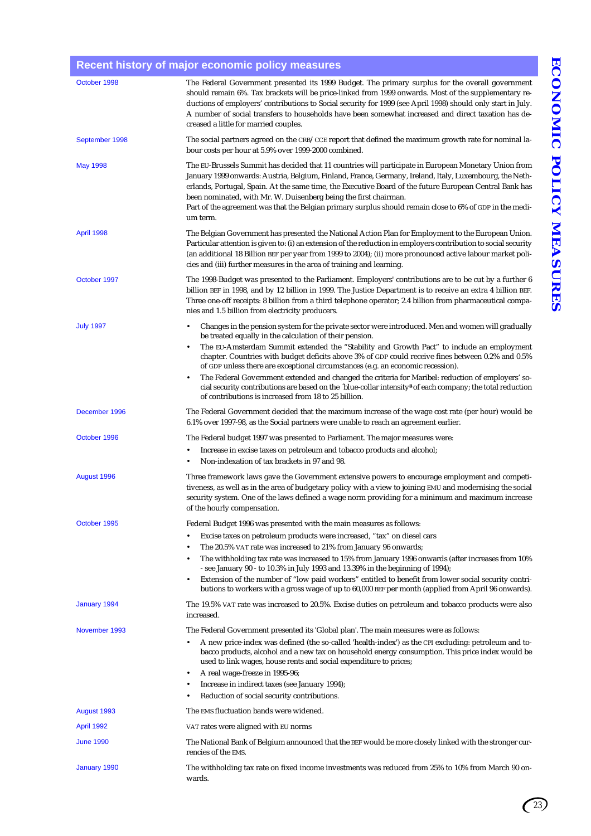## **Recent history of major economic policy measures**

| October 1998     | The Federal Government presented its 1999 Budget. The primary surplus for the overall government<br>should remain 6%. Tax brackets will be price-linked from 1999 onwards. Most of the supplementary re-<br>ductions of employers' contributions to Social security for 1999 (see April 1998) should only start in July.<br>A number of social transfers to households have been somewhat increased and direct taxation has de-<br>creased a little for married couples.                                                                                                                                                                                                                                                                                |
|------------------|---------------------------------------------------------------------------------------------------------------------------------------------------------------------------------------------------------------------------------------------------------------------------------------------------------------------------------------------------------------------------------------------------------------------------------------------------------------------------------------------------------------------------------------------------------------------------------------------------------------------------------------------------------------------------------------------------------------------------------------------------------|
| September 1998   | The social partners agreed on the CRB/CCE report that defined the maximum growth rate for nominal la-<br>bour costs per hour at 5.9% over 1999-2000 combined.                                                                                                                                                                                                                                                                                                                                                                                                                                                                                                                                                                                           |
| May 1998         | The EU-Brussels Summit has decided that 11 countries will participate in European Monetary Union from<br>January 1999 onwards: Austria, Belgium, Finland, France, Germany, Ireland, Italy, Luxembourg, the Neth-<br>erlands, Portugal, Spain. At the same time, the Executive Board of the future European Central Bank has<br>been nominated, with Mr. W. Duisenberg being the first chairman.<br>Part of the agreement was that the Belgian primary surplus should remain close to 6% of GDP in the medi-<br>um term.                                                                                                                                                                                                                                 |
| April 1998       | The Belgian Government has presented the National Action Plan for Employment to the European Union.<br>Particular attention is given to: (i) an extension of the reduction in employers contribution to social security<br>(an additional 18 Billion BEF per year from 1999 to 2004); (ii) more pronounced active labour market poli-<br>cies and (iii) further measures in the area of training and learning.                                                                                                                                                                                                                                                                                                                                          |
| October 1997     | The 1998-Budget was presented to the Parliament. Employers' contributions are to be cut by a further 6<br>billion BEF in 1998, and by 12 billion in 1999. The Justice Department is to receive an extra 4 billion BEF.<br>Three one-off receipts: 8 billion from a third telephone operator; 2.4 billion from pharmaceutical compa-<br>nies and 1.5 billion from electricity producers.                                                                                                                                                                                                                                                                                                                                                                 |
| <b>July 1997</b> | Changes in the pension system for the private sector were introduced. Men and women will gradually<br>٠<br>be treated equally in the calculation of their pension.<br>The EU-Amsterdam Summit extended the "Stability and Growth Pact" to include an employment<br>٠<br>chapter. Countries with budget deficits above 3% of GDP could receive fines between 0.2% and 0.5%<br>of GDP unless there are exceptional circumstances (e.g. an economic recession).<br>The Federal Government extended and changed the criteria for Maribel: reduction of employers' so-<br>٠<br>cial security contributions are based on the 'blue-collar intensity <sup>a</sup> of each company; the total reduction<br>of contributions is increased from 18 to 25 billion. |
| December 1996    | The Federal Government decided that the maximum increase of the wage cost rate (per hour) would be<br>6.1% over 1997-98, as the Social partners were unable to reach an agreement earlier.                                                                                                                                                                                                                                                                                                                                                                                                                                                                                                                                                              |
| October 1996     | The Federal budget 1997 was presented to Parliament. The major measures were:                                                                                                                                                                                                                                                                                                                                                                                                                                                                                                                                                                                                                                                                           |
|                  | Increase in excise taxes on petroleum and tobacco products and alcohol;<br>$\bullet$<br>Non-indexation of tax brackets in 97 and 98.<br>٠                                                                                                                                                                                                                                                                                                                                                                                                                                                                                                                                                                                                               |
| August 1996      | Three framework laws gave the Government extensive powers to encourage employment and competi-                                                                                                                                                                                                                                                                                                                                                                                                                                                                                                                                                                                                                                                          |
|                  | tiveness, as well as in the area of budgetary policy with a view to joining EMU and modernising the social<br>security system. One of the laws defined a wage norm providing for a minimum and maximum increase<br>of the hourly compensation.                                                                                                                                                                                                                                                                                                                                                                                                                                                                                                          |
| October 1995     | Federal Budget 1996 was presented with the main measures as follows:                                                                                                                                                                                                                                                                                                                                                                                                                                                                                                                                                                                                                                                                                    |
|                  | Excise taxes on petroleum products were increased, "tax" on diesel cars<br>٠                                                                                                                                                                                                                                                                                                                                                                                                                                                                                                                                                                                                                                                                            |
|                  | The 20.5% VAT rate was increased to 21% from January 96 onwards;<br>٠<br>The withholding tax rate was increased to 15% from January 1996 onwards (after increases from 10%<br>٠                                                                                                                                                                                                                                                                                                                                                                                                                                                                                                                                                                         |
|                  | - see January 90 - to 10.3% in July 1993 and 13.39% in the beginning of 1994);<br>Extension of the number of "low paid workers" entitled to benefit from lower social security contri-<br>٠<br>butions to workers with a gross wage of up to 60,000 BEF per month (applied from April 96 onwards).                                                                                                                                                                                                                                                                                                                                                                                                                                                      |
| January 1994     | The 19.5% VAT rate was increased to 20.5%. Excise duties on petroleum and tobacco products were also<br>increased.                                                                                                                                                                                                                                                                                                                                                                                                                                                                                                                                                                                                                                      |
| November 1993    | The Federal Government presented its 'Global plan'. The main measures were as follows:                                                                                                                                                                                                                                                                                                                                                                                                                                                                                                                                                                                                                                                                  |
|                  | A new price-index was defined (the so-called 'health-index') as the CPI excluding: petroleum and to-<br>٠<br>bacco products, alcohol and a new tax on household energy consumption. This price index would be<br>used to link wages, house rents and social expenditure to prices;                                                                                                                                                                                                                                                                                                                                                                                                                                                                      |
|                  | A real wage-freeze in 1995-96;<br>٠<br>Increase in indirect taxes (see January 1994);<br>Reduction of social security contributions.                                                                                                                                                                                                                                                                                                                                                                                                                                                                                                                                                                                                                    |
| August 1993      | The EMS fluctuation bands were widened.                                                                                                                                                                                                                                                                                                                                                                                                                                                                                                                                                                                                                                                                                                                 |
| April 1992       | VAT rates were aligned with EU norms                                                                                                                                                                                                                                                                                                                                                                                                                                                                                                                                                                                                                                                                                                                    |
| <b>June 1990</b> | The National Bank of Belgium announced that the BEF would be more closely linked with the stronger cur-<br>rencies of the EMS.                                                                                                                                                                                                                                                                                                                                                                                                                                                                                                                                                                                                                          |